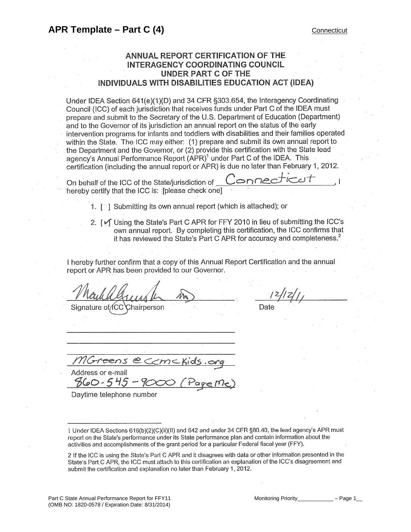# **ANNUAL REPORT CERTIFICATION OF THE** INTERAGENCY COORDINATING COUNCIL **UNDER PART C OF THE** INDIVIDUALS WITH DISABILITIES EDUCATION ACT (IDEA)

Under IDEA Section 641(e)(1)(D) and 34 CFR §303.654, the Interagency Coordinating Council (ICC) of each jurisdiction that receives funds under Part C of the IDEA must prepare and submit to the Secretary of the U.S. Department of Education (Department) and to the Governor of its jurisdiction an annual report on the status of the early intervention programs for infants and toddlers with disabilities and their families operated within the State. The ICC may either: (1) prepare and submit its own annual report to the Department and the Governor, or (2) provide this certification with the State lead agency's Annual Performance Report (APR)<sup>1</sup> under Part C of the IDEA. This certification (including the annual report or APR) is due no later than February 1, 2012.

On behalf of the ICC of the State/jurisdiction of onne hereby certify that the ICC is: [please check one]

1. [1] Submitting its own annual report (which is attached); or

2. [v] Using the State's Part C APR for FFY 2010 in lieu of submitting the ICC's own annual report. By completing this certification, the ICC confirms that it has reviewed the State's Part C APR for accuracy and completeness.<sup>2</sup>

I hereby further confirm that a copy of this Annual Report Certification and the annual report or APR has been provided to our Governor.

Signature of CC Chairperson

Date

 $PAN<$ Address or e-mail

 $860 - 545$ 

Daytime telephone number

1 Under IDEA Sections 616(b)(2)(C)(ii)(II) and 642 and under 34 CFR §80.40, the lead agency's APR must report on the State's performance under its State performance plan and contain information about the activities and accomplishments of the grant period for a particular Federal fiscal year (FFY).

2 If the ICC is using the State's Part C APR and it disagrees with data or other information presented in the State's Part C APR, the ICC must attach to this certification an explanation of the ICC's disagreement and submit the certification and explanation no later than February 1, 2012.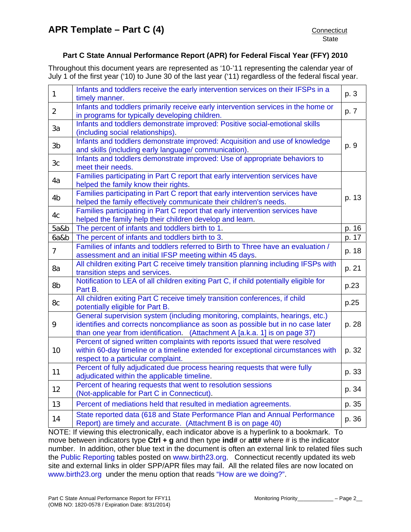Throughout this document years are represented as '10-'11 representing the calendar year of July 1 of the first year ('10) to June 30 of the last year ('11) regardless of the federal fiscal year.

| $\mathbf{1}$   | Infants and toddlers receive the early intervention services on their IFSPs in a<br>timely manner.                                                                                                                                            | p. 3  |
|----------------|-----------------------------------------------------------------------------------------------------------------------------------------------------------------------------------------------------------------------------------------------|-------|
| $\overline{2}$ | Infants and toddlers primarily receive early intervention services in the home or<br>in programs for typically developing children.                                                                                                           | p. 7  |
| 3a             | Infants and toddlers demonstrate improved: Positive social-emotional skills<br>(including social relationships).                                                                                                                              |       |
| 3b             | Infants and toddlers demonstrate improved: Acquisition and use of knowledge<br>and skills (including early language/ communication).                                                                                                          | p. 9  |
| 3 <sub>c</sub> | Infants and toddlers demonstrate improved: Use of appropriate behaviors to<br>meet their needs.                                                                                                                                               |       |
| 4a             | Families participating in Part C report that early intervention services have<br>helped the family know their rights.                                                                                                                         |       |
| 4 <sub>b</sub> | Families participating in Part C report that early intervention services have<br>helped the family effectively communicate their children's needs.                                                                                            | p. 13 |
| 4c             | Families participating in Part C report that early intervention services have<br>helped the family help their children develop and learn.                                                                                                     |       |
| 5a&b           | The percent of infants and toddlers birth to 1.                                                                                                                                                                                               | p. 16 |
| 6a&b           | The percent of infants and toddlers birth to 3.                                                                                                                                                                                               | p. 17 |
| $\overline{7}$ | Families of infants and toddlers referred to Birth to Three have an evaluation /<br>assessment and an initial IFSP meeting within 45 days.                                                                                                    | p. 18 |
| 8a             | All children exiting Part C receive timely transition planning including IFSPs with<br>transition steps and services.                                                                                                                         | p. 21 |
| 8b             | Notification to LEA of all children exiting Part C, if child potentially eligible for<br>Part B.                                                                                                                                              | p.23  |
| 8c             | All children exiting Part C receive timely transition conferences, if child<br>potentially eligible for Part B.                                                                                                                               | p.25  |
| 9              | General supervision system (including monitoring, complaints, hearings, etc.)<br>identifies and corrects noncompliance as soon as possible but in no case later<br>than one year from identification. (Attachment A [a.k.a. 1] is on page 37) | p. 28 |
| 10             | Percent of signed written complaints with reports issued that were resolved<br>within 60-day timeline or a timeline extended for exceptional circumstances with<br>respect to a particular complaint.                                         | p. 32 |
| 11             | Percent of fully adjudicated due process hearing requests that were fully<br>adjudicated within the applicable timeline.                                                                                                                      | p. 33 |
| 12             | Percent of hearing requests that went to resolution sessions<br>(Not-applicable for Part C in Connecticut).                                                                                                                                   | p. 34 |
| 13             | Percent of mediations held that resulted in mediation agreements.                                                                                                                                                                             | p. 35 |
| 14             | State reported data (618 and State Performance Plan and Annual Performance<br>Report) are timely and accurate. (Attachment B is on page 40)                                                                                                   | p. 36 |
|                |                                                                                                                                                                                                                                               |       |

NOTE: If viewing this electronically, each indicator above is a hyperlink to a bookmark. To move between indicators type **Ctrl + g** and then type **ind#** or **att#** where # is the indicator number. In addition, other blue text in the document is often an external link to related files such the [Public Reporting](http://www.birth23.org/Accountability/PR/PublicReporting.htm) tables posted on [www.birth23.org](http://www.birth23.org/). Connecticut recently updated its web site and external links in older SPP/APR files may fail. All the related files are now located on [www.birth23.org](http://www.birth23.org/) under the menu option that reads ["How are we doing?"](http://birth23.org/accountability/accountability.html).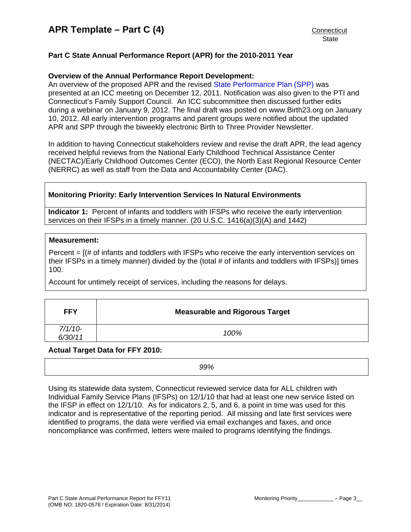# <span id="page-2-0"></span>**Part C State Annual Performance Report (APR) for the 2010-2011 Year**

# **Overview of the Annual Performance Report Development:**

An overview of the proposed APR and the revised [State Performance Plan \(SPP\)](http://birth23.org/accountability/SPP.html) was presented at an ICC meeting on December 12, 2011. Notification was also given to the PTI and Connecticut's Family Support Council. An ICC subcommittee then discussed further edits during a webinar on January 9, 2012. The final draft was posted on www.Birth23.org on January 10, 2012. All early intervention programs and parent groups were notified about the updated APR and SPP through the biweekly electronic Birth to Three Provider Newsletter.

In addition to having Connecticut stakeholders review and revise the draft APR, the lead agency received helpful reviews from the National Early Childhood Technical Assistance Center (NECTAC)/Early Childhood Outcomes Center (ECO), the North East Regional Resource Center (NERRC) as well as staff from the Data and Accountability Center (DAC).

# **Monitoring Priority: Early Intervention Services In Natural Environments**

**Indicator 1:** Percent of infants and toddlers with IFSPs who receive the early intervention services on their IFSPs in a timely manner. (20 U.S.C. 1416(a)(3)(A) and 1442)

### **Measurement:**

Percent  $=$   $[(# of infants and toldlers with IFSPs who receive the early intervention services on$ their IFSPs in a timely manner) divided by the (total # of infants and toddlers with IFSPs)] times 100.

Account for untimely receipt of services, including the reasons for delays.

| <b>FFY</b>           | <b>Measurable and Rigorous Target</b> |
|----------------------|---------------------------------------|
| $7/1/10-$<br>6/30/11 | 100%                                  |

### **Actual Target Data for FFY 2010:**

*99%* 

Using its statewide data system, Connecticut reviewed service data for ALL children with Individual Family Service Plans (IFSPs) on 12/1/10 that had at least one new service listed on the IFSP in effect on 12/1/10. As for indicators 2, 5, and 6, a point in time was used for this indicator and is representative of the reporting period. All missing and late first services were identified to programs, the data were verified via email exchanges and faxes, and once noncompliance was confirmed, letters were mailed to programs identifying the findings.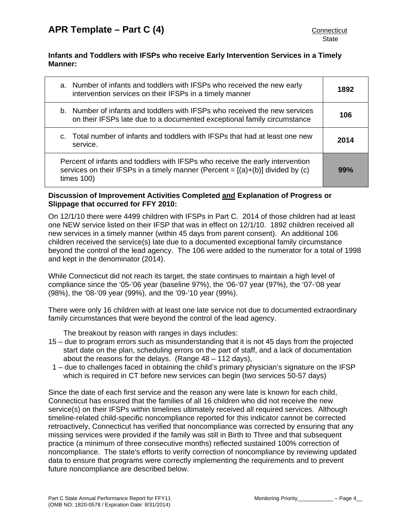# **Infants and Toddlers with IFSPs who receive Early Intervention Services in a Timely Manner:**

| a. Number of infants and toddlers with IFSPs who received the new early<br>intervention services on their IFSPs in a timely manner                                                 | 1892 |
|------------------------------------------------------------------------------------------------------------------------------------------------------------------------------------|------|
| b. Number of infants and toddlers with IFSPs who received the new services<br>on their IFSPs late due to a documented exceptional family circumstance                              | 106  |
| c. Total number of infants and toddlers with IFSPs that had at least one new<br>service.                                                                                           | 2014 |
| Percent of infants and toddlers with IFSPs who receive the early intervention<br>services on their IFSPs in a timely manner (Percent = $[(a)+(b)]$ divided by (c)<br>times $100$ ) | 99%  |

# **Discussion of Improvement Activities Completed and Explanation of Progress or Slippage that occurred for FFY 2010:**

On 12/1/10 there were 4499 children with IFSPs in Part C. 2014 of those children had at least one NEW service listed on their IFSP that was in effect on 12/1/10. 1892 children received all new services in a timely manner (within 45 days from parent consent). An additional 106 children received the service(s) late due to a documented exceptional family circumstance beyond the control of the lead agency. The 106 were added to the numerator for a total of 1998 and kept in the denominator (2014).

While Connecticut did not reach its target, the state continues to maintain a high level of compliance since the '05-'06 year (baseline 97%), the '06-'07 year (97%), the '07-'08 year (98%), the '08-'09 year (99%), and the '09-'10 year (99%).

There were only 16 children with at least one late service not due to documented extraordinary family circumstances that were beyond the control of the lead agency.

The breakout by reason with ranges in days includes:

- 15 due to program errors such as misunderstanding that it is not 45 days from the projected start date on the plan, scheduling errors on the part of staff, and a lack of documentation about the reasons for the delays. (Range 48 – 112 days),
- 1 due to challenges faced in obtaining the child's primary physician's signature on the IFSP which is required in CT before new services can begin (two services 50-57 days)

Since the date of each first service and the reason any were late is known for each child, Connecticut has ensured that the families of all 16 children who did not receive the new service(s) on their IFSPs within timelines ultimately received all required services. Although timeline-related child-specific noncompliance reported for this indicator cannot be corrected retroactively, Connecticut has verified that noncompliance was corrected by ensuring that any missing services were provided if the family was still in Birth to Three and that subsequent practice (a minimum of three consecutive months) reflected sustained 100% correction of noncompliance. The state's efforts to verify correction of noncompliance by reviewing updated data to ensure that programs were correctly implementing the requirements and to prevent future noncompliance are described below.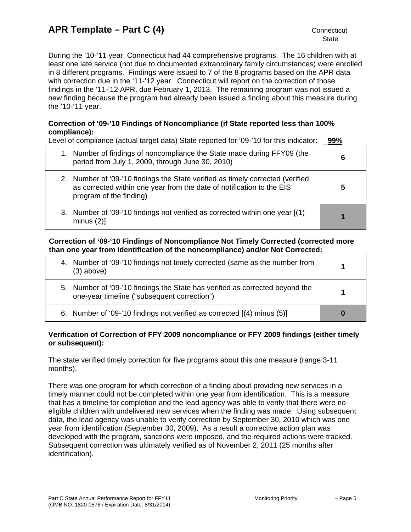During the '10-'11 year, Connecticut had 44 comprehensive programs. The 16 children with at least one late service (not due to documented extraordinary family circumstances) were enrolled in 8 different programs. Findings were issued to 7 of the 8 programs based on the APR data with correction due in the '11-'12 year. Connecticut will report on the correction of those findings in the '11-'12 APR, due February 1, 2013. The remaining program was not issued a new finding because the program had already been issued a finding about this measure during the '10-'11 year.

# **Correction of '09-'10 Findings of Noncompliance (if State reported less than 100% compliance):**

Level of compliance (actual target data) State reported for '09-'10 for this indicator: \_**99%**

| 1. Number of findings of noncompliance the State made during FFY09 (the<br>period from July 1, 2009, through June 30, 2010)                                                        | 6 |
|------------------------------------------------------------------------------------------------------------------------------------------------------------------------------------|---|
| 2. Number of '09-'10 findings the State verified as timely corrected (verified<br>as corrected within one year from the date of notification to the EIS<br>program of the finding) |   |
| 3. Number of '09-'10 findings not verified as corrected within one year [(1)<br>minus $(2)$ ]                                                                                      |   |

# **Correction of '09-'10 Findings of Noncompliance Not Timely Corrected (corrected more than one year from identification of the noncompliance) and/or Not Corrected:**

| 4. Number of '09-'10 findings not timely corrected (same as the number from<br>$(3)$ above)                                 |  |
|-----------------------------------------------------------------------------------------------------------------------------|--|
| 5. Number of '09-'10 findings the State has verified as corrected beyond the<br>one-year timeline ("subsequent correction") |  |
| 6. Number of '09-'10 findings not verified as corrected [(4) minus (5)]                                                     |  |

# **Verification of Correction of FFY 2009 noncompliance or FFY 2009 findings (either timely or subsequent):**

The state verified timely correction for five programs about this one measure (range 3-11 months).

There was one program for which correction of a finding about providing new services in a timely manner could not be completed within one year from identification. This is a measure that has a timeline for completion and the lead agency was able to verify that there were no eligible children with undelivered new services when the finding was made. Using subsequent data, the lead agency was unable to verify correction by September 30, 2010 which was one year from identification (September 30, 2009). As a result a corrective action plan was developed with the program, sanctions were imposed, and the required actions were tracked. Subsequent correction was ultimately verified as of November 2, 2011 (25 months after identification).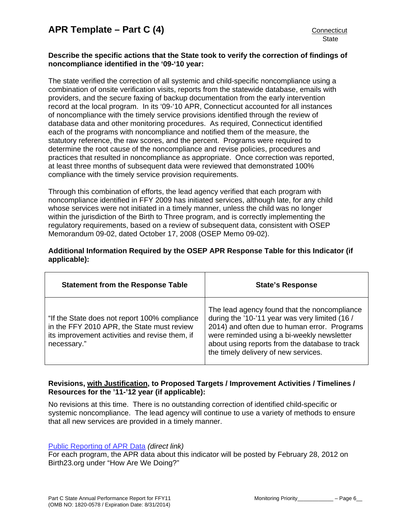# **Describe the specific actions that the State took to verify the correction of findings of noncompliance identified in the '09-'10 year:**

The state verified the correction of all systemic and child-specific noncompliance using a combination of onsite verification visits, reports from the statewide database, emails with providers, and the secure faxing of backup documentation from the early intervention record at the local program. In its '09-'10 APR, Connecticut accounted for all instances of noncompliance with the timely service provisions identified through the review of database data and other monitoring procedures. As required, Connecticut identified each of the programs with noncompliance and notified them of the measure, the statutory reference, the raw scores, and the percent. Programs were required to determine the root cause of the noncompliance and revise policies, procedures and practices that resulted in noncompliance as appropriate. Once correction was reported, at least three months of subsequent data were reviewed that demonstrated 100% compliance with the timely service provision requirements.

Through this combination of efforts, the lead agency verified that each program with noncompliance identified in FFY 2009 has initiated services, although late, for any child whose services were not initiated in a timely manner, unless the child was no longer within the jurisdiction of the Birth to Three program, and is correctly implementing the regulatory requirements, based on a review of subsequent data, consistent with OSEP Memorandum 09-02, dated October 17, 2008 (OSEP Memo 09-02).

# **Additional Information Required by the OSEP APR Response Table for this Indicator (if applicable):**

| <b>Statement from the Response Table</b>                                                                                                                     | <b>State's Response</b>                                                                                                                                                                                                                                                                |
|--------------------------------------------------------------------------------------------------------------------------------------------------------------|----------------------------------------------------------------------------------------------------------------------------------------------------------------------------------------------------------------------------------------------------------------------------------------|
| "If the State does not report 100% compliance<br>in the FFY 2010 APR, the State must review<br>its improvement activities and revise them, if<br>necessary." | The lead agency found that the noncompliance<br>during the '10-'11 year was very limited (16 /<br>2014) and often due to human error. Programs<br>were reminded using a bi-weekly newsletter<br>about using reports from the database to track<br>the timely delivery of new services. |

# **Revisions, with Justification, to Proposed Targets / Improvement Activities / Timelines / Resources for the '11-'12 year (if applicable):**

No revisions at this time. There is no outstanding correction of identified child-specific or systemic noncompliance. The lead agency will continue to use a variety of methods to ensure that all new services are provided in a timely manner.

# [Public Reporting of APR Data](http://www.birth23.org/Accountability/PR/PublicReporting.htm) *(direct link)*

For each program, the APR data about this indicator will be posted by February 28, 2012 on Birth23.org under "How Are We Doing?"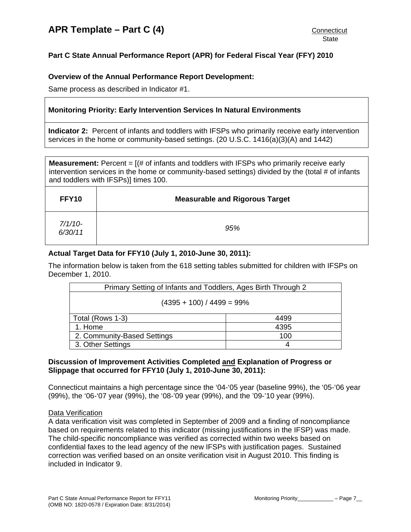# <span id="page-6-0"></span>**Part C State Annual Performance Report (APR) for Federal Fiscal Year (FFY) 2010**

# **Overview of the Annual Performance Report Development:**

Same process as described in Indicator #1.

# **Monitoring Priority: Early Intervention Services In Natural Environments**

**Indicator 2:** Percent of infants and toddlers with IFSPs who primarily receive early intervention services in the home or community-based settings. (20 U.S.C. 1416(a)(3)(A) and 1442)

**Measurement:** Percent = [(# of infants and toddlers with IFSPs who primarily receive early intervention services in the home or community-based settings) divided by the (total # of infants and toddlers with IFSPs)] times 100.

| FFY10                | <b>Measurable and Rigorous Target</b> |
|----------------------|---------------------------------------|
| $7/1/10-$<br>6/30/11 | 95%                                   |

# **Actual Target Data for FFY10 (July 1, 2010-June 30, 2011):**

The information below is taken from the 618 setting tables submitted for children with IFSPs on December 1, 2010.

| Primary Setting of Infants and Toddlers, Ages Birth Through 2 |      |  |
|---------------------------------------------------------------|------|--|
| $(4395 + 100) / 4499 = 99\%$                                  |      |  |
| Total (Rows 1-3)                                              | 4499 |  |
| 1. Home                                                       | 4395 |  |
| 2. Community-Based Settings                                   | 100  |  |
| 3. Other Settings                                             | 4    |  |

# **Discussion of Improvement Activities Completed and Explanation of Progress or Slippage that occurred for FFY10 (July 1, 2010-June 30, 2011):**

Connecticut maintains a high percentage since the '04-'05 year (baseline 99%), the '05-'06 year (99%), the '06-'07 year (99%), the '08-'09 year (99%), and the '09-'10 year (99%).

### Data Verification

A data verification visit was completed in September of 2009 and a finding of noncompliance based on requirements related to this indicator (missing justifications in the IFSP) was made. The child-specific noncompliance was verified as corrected within two weeks based on confidential faxes to the lead agency of the new IFSPs with justification pages. Sustained correction was verified based on an onsite verification visit in August 2010. This finding is included in Indicator 9.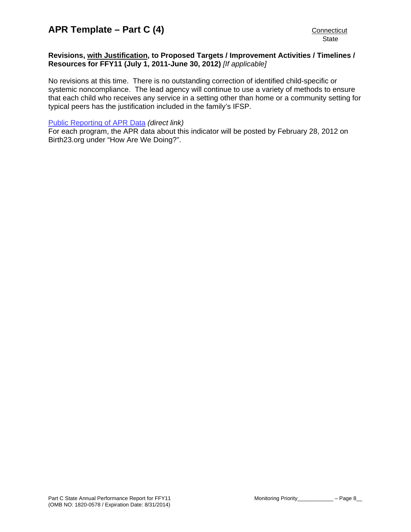### **Revisions, with Justification, to Proposed Targets / Improvement Activities / Timelines / Resources for FFY11 (July 1, 2011-June 30, 2012)** *[If applicable]*

No revisions at this time. There is no outstanding correction of identified child-specific or systemic noncompliance. The lead agency will continue to use a variety of methods to ensure that each child who receives any service in a setting other than home or a community setting for typical peers has the justification included in the family's IFSP.

#### [Public Reporting of APR Data](http://www.birth23.org/Accountability/PR/PublicReporting.htm) *(direct link)*

For each program, the APR data about this indicator will be posted by February 28, 2012 on Birth23.org under "How Are We Doing?".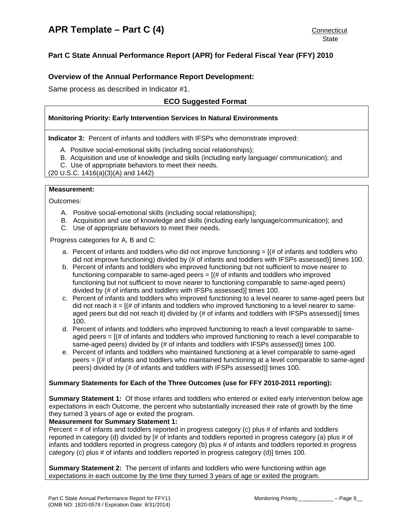# <span id="page-8-0"></span>**Part C State Annual Performance Report (APR) for Federal Fiscal Year (FFY) 2010**

## **Overview of the Annual Performance Report Development:**

Same process as described in Indicator #1.

# **ECO Suggested Format**

#### **Monitoring Priority: Early Intervention Services In Natural Environments**

**Indicator 3:** Percent of infants and toddlers with IFSPs who demonstrate improved:

- A. Positive social-emotional skills (including social relationships);
- B. Acquisition and use of knowledge and skills (including early language/ communication); and
- C. Use of appropriate behaviors to meet their needs.

(20 U.S.C. 1416(a)(3)(A) and 1442)

#### **Measurement:**

Outcomes:

- A. Positive social-emotional skills (including social relationships);
- B. Acquisition and use of knowledge and skills (including early language/communication); and
- C. Use of appropriate behaviors to meet their needs.

Progress categories for A, B and C:

- a. Percent of infants and toddlers who did not improve functioning  $=$  [ $\#$  of infants and toddlers who did not improve functioning) divided by (# of infants and toddlers with IFSPs assessed)] times 100.
- b. Percent of infants and toddlers who improved functioning but not sufficient to move nearer to functioning comparable to same-aged peers = [(# of infants and toddlers who improved functioning but not sufficient to move nearer to functioning comparable to same-aged peers) divided by (# of infants and toddlers with IFSPs assessed)] times 100.
- c. Percent of infants and toddlers who improved functioning to a level nearer to same-aged peers but did not reach it  $=$   $[(# of infants and toldlers who improved functioning to a level nearer to same$ aged peers but did not reach it) divided by (# of infants and toddlers with IFSPs assessed)] times 100.
- d. Percent of infants and toddlers who improved functioning to reach a level comparable to sameaged peers  $=$   $[(# of infants and toldlers who improved functioning to reach a level comparable to$ same-aged peers) divided by (# of infants and toddlers with IFSPs assessed)] times 100.
- e. Percent of infants and toddlers who maintained functioning at a level comparable to same-aged peers = [(# of infants and toddlers who maintained functioning at a level comparable to same-aged peers) divided by (# of infants and toddlers with IFSPs assessed)] times 100.

#### **Summary Statements for Each of the Three Outcomes (use for FFY 2010-2011 reporting):**

**Summary Statement 1:** Of those infants and toddlers who entered or exited early intervention below age expectations in each Outcome, the percent who substantially increased their rate of growth by the time they turned 3 years of age or exited the program.

#### **Measurement for Summary Statement 1:**

Percent = # of infants and toddlers reported in progress category (c) plus # of infants and toddlers reported in category (d) divided by [# of infants and toddlers reported in progress category (a) plus # of infants and toddlers reported in progress category (b) plus # of infants and toddlers reported in progress category (c) plus # of infants and toddlers reported in progress category (d)] times 100.

**Summary Statement 2:** The percent of infants and toddlers who were functioning within age expectations in each outcome by the time they turned 3 years of age or exited the program.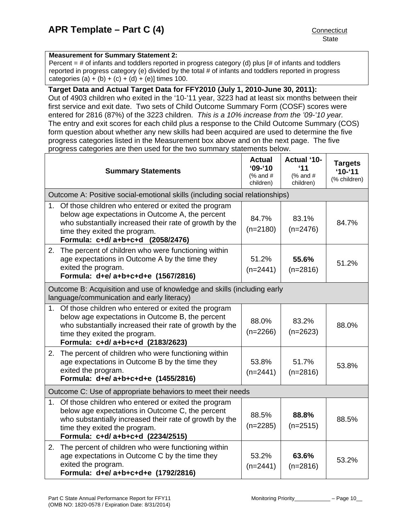### **Measurement for Summary Statement 2:**

Percent = # of infants and toddlers reported in progress category (d) plus [# of infants and toddlers reported in progress category (e) divided by the total # of infants and toddlers reported in progress categories (a) + (b) + (c) + (d) + (e)] times 100.

# **Target Data and Actual Target Data for FFY2010 (July 1, 2010-June 30, 2011):**

Out of 4903 children who exited in the '10-'11 year, 3223 had at least six months between their first service and exit date. Two sets of Child Outcome Summary Form (COSF) scores were entered for 2816 (87%) of the 3223 children. *This is a 10% increase from the '09-'10 year.* The entry and exit scores for each child plus a response to the Child Outcome Summary (COS) form question about whether any new skills had been acquired are used to determine the five progress categories listed in the Measurement box above and on the next page. The five progress categories are then used for the two summary statements below.

| <b>Summary Statements</b>                                                                                                                                                                                                                     | <b>Actual</b><br>$'09 - '10$<br>(% and $#$<br>children) | <b>Actual '10-</b><br>'11<br>(% and $#$<br>children) | <b>Targets</b><br>$10 - 11$<br>(% children) |
|-----------------------------------------------------------------------------------------------------------------------------------------------------------------------------------------------------------------------------------------------|---------------------------------------------------------|------------------------------------------------------|---------------------------------------------|
| Outcome A: Positive social-emotional skills (including social relationships)                                                                                                                                                                  |                                                         |                                                      |                                             |
| 1. Of those children who entered or exited the program<br>below age expectations in Outcome A, the percent<br>who substantially increased their rate of growth by the<br>time they exited the program.<br>Formula: c+d/a+b+c+d (2058/2476)    | 84.7%<br>$(n=2180)$                                     | 83.1%<br>$(n=2476)$                                  | 84.7%                                       |
| The percent of children who were functioning within<br>2.<br>age expectations in Outcome A by the time they<br>exited the program.<br>Formula: d+e/a+b+c+d+e (1567/2816)                                                                      | 51.2%<br>$(n=2441)$                                     | 55.6%<br>$(n=2816)$                                  | 51.2%                                       |
| Outcome B: Acquisition and use of knowledge and skills (including early<br>language/communication and early literacy)                                                                                                                         |                                                         |                                                      |                                             |
| Of those children who entered or exited the program<br>1.<br>below age expectations in Outcome B, the percent<br>who substantially increased their rate of growth by the<br>time they exited the program.<br>Formula: c+d/a+b+c+d (2183/2623) | 88.0%<br>$(n=2266)$                                     | 83.2%<br>$(n=2623)$                                  | 88.0%                                       |
| 2. The percent of children who were functioning within<br>age expectations in Outcome B by the time they<br>exited the program.<br>Formula: d+e/a+b+c+d+e (1455/2816)                                                                         | 53.8%<br>$(n=2441)$                                     | 51.7%<br>$(n=2816)$                                  | 53.8%                                       |
| Outcome C: Use of appropriate behaviors to meet their needs                                                                                                                                                                                   |                                                         |                                                      |                                             |
| Of those children who entered or exited the program<br>1.<br>below age expectations in Outcome C, the percent<br>who substantially increased their rate of growth by the<br>time they exited the program.<br>Formula: c+d/a+b+c+d (2234/2515) | 88.5%<br>$(n=2285)$                                     | 88.8%<br>$(n=2515)$                                  | 88.5%                                       |
| 2. The percent of children who were functioning within<br>age expectations in Outcome C by the time they<br>exited the program.<br>Formula: d+e/ a+b+c+d+e (1792/2816)                                                                        | 53.2%<br>$(n=2441)$                                     | 63.6%<br>$(n=2816)$                                  | 53.2%                                       |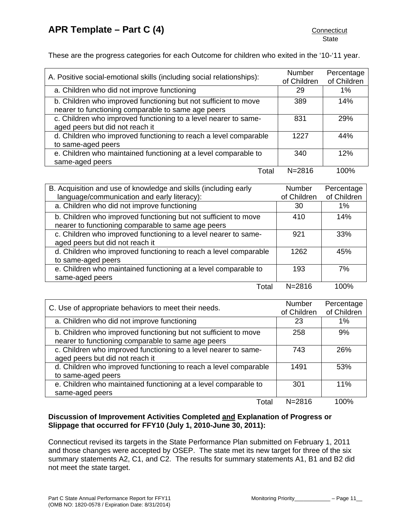These are the progress categories for each Outcome for children who exited in the '10-'11 year.

| A. Positive social-emotional skills (including social relationships):                                                 | <b>Number</b><br>of Children | Percentage<br>of Children |
|-----------------------------------------------------------------------------------------------------------------------|------------------------------|---------------------------|
| a. Children who did not improve functioning                                                                           | 29                           | 1%                        |
| b. Children who improved functioning but not sufficient to move<br>nearer to functioning comparable to same age peers | 389                          | 14%                       |
| c. Children who improved functioning to a level nearer to same-<br>aged peers but did not reach it                    | 831                          | 29%                       |
| d. Children who improved functioning to reach a level comparable<br>to same-aged peers                                | 1227                         | 44%                       |
| e. Children who maintained functioning at a level comparable to<br>same-aged peers                                    | 340                          | 12%                       |
| Total                                                                                                                 | $N = 2816$                   | 100%                      |

| B. Acquisition and use of knowledge and skills (including early  | <b>Number</b> | Percentage  |
|------------------------------------------------------------------|---------------|-------------|
| language/communication and early literacy):                      | of Children   | of Children |
| a. Children who did not improve functioning                      | 30            | 1%          |
| b. Children who improved functioning but not sufficient to move  | 410           | 14%         |
| nearer to functioning comparable to same age peers               |               |             |
| c. Children who improved functioning to a level nearer to same-  | 921           | 33%         |
| aged peers but did not reach it                                  |               |             |
| d. Children who improved functioning to reach a level comparable | 1262          | 45%         |
| to same-aged peers                                               |               |             |
| e. Children who maintained functioning at a level comparable to  | 193           | 7%          |
| same-aged peers                                                  |               |             |
| Total                                                            | $N = 2816$    | 100%        |

| C. Use of appropriate behaviors to meet their needs.             | <b>Number</b> | Percentage  |
|------------------------------------------------------------------|---------------|-------------|
|                                                                  | of Children   | of Children |
| a. Children who did not improve functioning                      | 23            | 1%          |
| b. Children who improved functioning but not sufficient to move  | 258           | 9%          |
| nearer to functioning comparable to same age peers               |               |             |
| c. Children who improved functioning to a level nearer to same-  | 743           | 26%         |
| aged peers but did not reach it                                  |               |             |
| d. Children who improved functioning to reach a level comparable | 1491          | 53%         |
| to same-aged peers                                               |               |             |
| e. Children who maintained functioning at a level comparable to  | 301           | 11%         |
| same-aged peers                                                  |               |             |
| Total                                                            | $N = 2816$    | 100%        |

# **Discussion of Improvement Activities Completed and Explanation of Progress or Slippage that occurred for FFY10 (July 1, 2010-June 30, 2011):**

Connecticut revised its targets in the State Performance Plan submitted on February 1, 2011 and those changes were accepted by OSEP. The state met its new target for three of the six summary statements A2, C1, and C2. The results for summary statements A1, B1 and B2 did not meet the state target.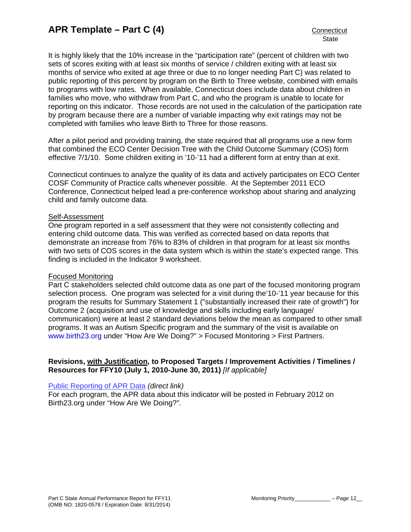It is highly likely that the 10% increase in the "participation rate" (percent of children with two sets of scores exiting with at least six months of service / children exiting with at least six months of service who exited at age three or due to no longer needing Part C) was related to public reporting of this percent by program on the Birth to Three website, combined with emails to programs with low rates. When available, Connecticut does include data about children in families who move, who withdraw from Part C, and who the program is unable to locate for reporting on this indicator. Those records are not used in the calculation of the participation rate by program because there are a number of variable impacting why exit ratings may not be completed with families who leave Birth to Three for those reasons.

After a pilot period and providing training, the state required that all programs use a new form that combined the ECO Center Decision Tree with the Child Outcome Summary (COS) form effective 7/1/10. Some children exiting in '10-'11 had a different form at entry than at exit.

Connecticut continues to analyze the quality of its data and actively participates on ECO Center COSF Community of Practice calls whenever possible. At the September 2011 ECO Conference, Connecticut helped lead a pre-conference workshop about sharing and analyzing child and family outcome data.

#### Self-Assessment

One program reported in a self assessment that they were not consistently collecting and entering child outcome data. This was verified as corrected based on data reports that demonstrate an increase from 76% to 83% of children in that program for at least six months with two sets of COS scores in the data system which is within the state's expected range. This finding is included in the Indicator 9 worksheet.

### Focused Monitoring

Part C stakeholders selected child outcome data as one part of the focused monitoring program selection process. One program was selected for a visit during the'10-'11 year because for this program the results for Summary Statement 1 ("substantially increased their rate of growth") for Outcome 2 (acquisition and use of knowledge and skills including early language/ communication) were at least 2 standard deviations below the mean as compared to other small programs. It was an Autism Specific program and the summary of the visit is available on [www.birth23.org](http://www.birth23.org/) under "How Are We Doing?" > Focused Monitoring > First Partners.

### **Revisions, with Justification, to Proposed Targets / Improvement Activities / Timelines / Resources for FFY10 (July 1, 2010-June 30, 2011)** *[If applicable]*

#### [Public Reporting of APR Data](http://www.birth23.org/Accountability/PR/PublicReporting.htm) *(direct link)*

For each program, the APR data about this indicator will be posted in February 2012 on Birth23.org under "How Are We Doing?".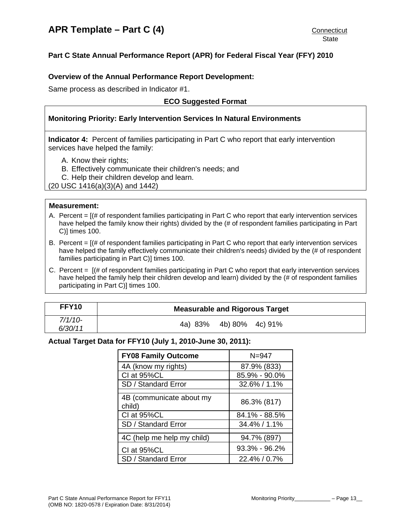# <span id="page-12-0"></span>**Overview of the Annual Performance Report Development:**

Same process as described in Indicator #1.

# **ECO Suggested Format**

# **Monitoring Priority: Early Intervention Services In Natural Environments**

**Indicator 4:** Percent of families participating in Part C who report that early intervention services have helped the family:

- A. Know their rights;
- B. Effectively communicate their children's needs; and

C. Help their children develop and learn.

(20 USC 1416(a)(3)(A) and 1442)

#### **Measurement:**

- A. Percent = [(# of respondent families participating in Part C who report that early intervention services have helped the family know their rights) divided by the (# of respondent families participating in Part C)] times 100.
- B. Percent  $=$   $[$   $\#$  of respondent families participating in Part C who report that early intervention services have helped the family effectively communicate their children's needs) divided by the (# of respondent families participating in Part C)] times 100.
- C. Percent = [(# of respondent families participating in Part C who report that early intervention services have helped the family help their children develop and learn) divided by the (# of respondent families participating in Part C)] times 100.

| <b>FFY10</b> | <b>Measurable and Rigorous Target</b> |
|--------------|---------------------------------------|
| $7/1/10-$    | 4b) 80% 4c) 91%                       |
| 6/30/11      | 4a) 83%                               |

### **Actual Target Data for FFY10 (July 1, 2010-June 30, 2011):**

| <b>FY08 Family Outcome</b>         | $N = 947$         |
|------------------------------------|-------------------|
| 4A (know my rights)                | 87.9% (833)       |
| CI at 95%CL                        | 85.9% - 90.0%     |
| SD / Standard Error                | 32.6% / 1.1%      |
| 4B (communicate about my<br>child) | 86.3% (817)       |
| CI at 95%CL                        | 84.1% - 88.5%     |
| SD / Standard Error                | 34.4% / 1.1%      |
| 4C (help me help my child)         | 94.7% (897)       |
| CI at 95%CL                        | $93.3\% - 96.2\%$ |
| SD / Standard Error                | 22.4% / 0.7%      |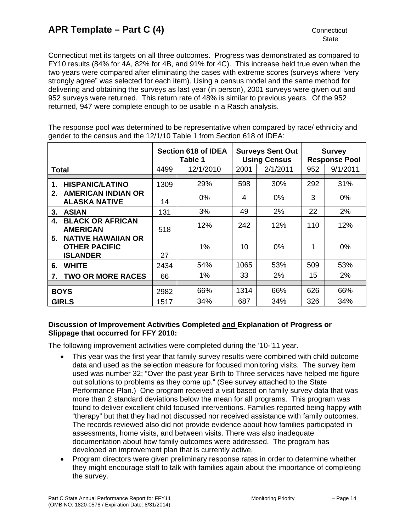Connecticut met its targets on all three outcomes. Progress was demonstrated as compared to FY10 results (84% for 4A, 82% for 4B, and 91% for 4C). This increase held true even when the two years were compared after eliminating the cases with extreme scores (surveys where "very strongly agree" was selected for each item). Using a census model and the same method for delivering and obtaining the surveys as last year (in person), 2001 surveys were given out and 952 surveys were returned. This return rate of 48% is similar to previous years. Of the 952 returned, 947 were complete enough to be usable in a Rasch analysis.

The response pool was determined to be representative when compared by race/ ethnicity and gender to the census and the 12/1/10 Table 1 from Section 618 of IDEA:

|              |                                                                      | Section 618 of IDEA<br>Table 1 |           | <b>Surveys Sent Out</b><br><b>Using Census</b> |          | <b>Survey</b><br><b>Response Pool</b> |          |
|--------------|----------------------------------------------------------------------|--------------------------------|-----------|------------------------------------------------|----------|---------------------------------------|----------|
|              | Total                                                                | 4499                           | 12/1/2010 | 2001                                           | 2/1/2011 | 952                                   | 9/1/2011 |
|              |                                                                      |                                |           |                                                |          |                                       |          |
| 1.           | <b>HISPANIC/LATINO</b>                                               | 1309                           | 29%       | 598                                            | 30%      | 292                                   | 31%      |
| 2.           | <b>AMERICAN INDIAN OR</b><br><b>ALASKA NATIVE</b>                    | 14                             | $0\%$     | 4                                              | $0\%$    | 3                                     | 0%       |
| 3.           | <b>ASIAN</b>                                                         | 131                            | 3%        | 49                                             | 2%       | 22                                    | 2%       |
| 4.           | <b>BLACK OR AFRICAN</b><br><b>AMERICAN</b>                           | 518                            | 12%       | 242                                            | 12%      | 110                                   | 12%      |
| 5.           | <b>NATIVE HAWAIIAN OR</b><br><b>OTHER PACIFIC</b><br><b>ISLANDER</b> | 27                             | 1%        | 10                                             | $0\%$    | 1                                     | $0\%$    |
| 6.           | <b>WHITE</b>                                                         | 2434                           | 54%       | 1065                                           | 53%      | 509                                   | 53%      |
| 7.           | <b>TWO OR MORE RACES</b>                                             | 66                             | 1%        | 33                                             | 2%       | 15                                    | 2%       |
|              |                                                                      |                                |           |                                                |          |                                       |          |
|              | <b>BOYS</b>                                                          |                                | 66%       | 1314                                           | 66%      | 626                                   | 66%      |
| <b>GIRLS</b> |                                                                      | 1517                           | 34%       | 687                                            | 34%      | 326                                   | 34%      |

# **Discussion of Improvement Activities Completed and Explanation of Progress or Slippage that occurred for FFY 2010:**

The following improvement activities were completed during the '10-'11 year.

- This year was the first year that family survey results were combined with child outcome data and used as the selection measure for focused monitoring visits. The survey item used was number 32; "Over the past year Birth to Three services have helped me figure out solutions to problems as they come up." (See survey attached to the State Performance Plan.) One program received a visit based on family survey data that was more than 2 standard deviations below the mean for all programs. This program was found to deliver excellent child focused interventions. Families reported being happy with "therapy" but that they had not discussed nor received assistance with family outcomes. The records reviewed also did not provide evidence about how families participated in assessments, home visits, and between visits. There was also inadequate documentation about how family outcomes were addressed. The program has developed an improvement plan that is currently active.
- Program directors were given preliminary response rates in order to determine whether they might encourage staff to talk with families again about the importance of completing the survey.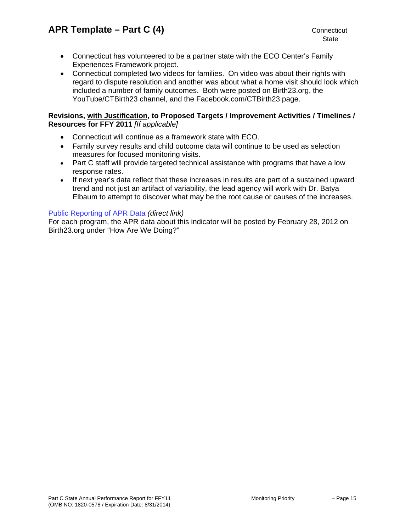- Connecticut has volunteered to be a partner state with the ECO Center's Family Experiences Framework project.
- Connecticut completed two videos for families. On video was about their rights with regard to dispute resolution and another was about what a home visit should look which included a number of family outcomes. Both were posted on Birth23.org, the YouTube/CTBirth23 channel, and the Facebook.com/CTBirth23 page.

# **Revisions, with Justification, to Proposed Targets / Improvement Activities / Timelines / Resources for FFY 2011** *[If applicable]*

- Connecticut will continue as a framework state with ECO.
- Family survey results and child outcome data will continue to be used as selection measures for focused monitoring visits.
- Part C staff will provide targeted technical assistance with programs that have a low response rates.
- If next year's data reflect that these increases in results are part of a sustained upward trend and not just an artifact of variability, the lead agency will work with Dr. Batya Elbaum to attempt to discover what may be the root cause or causes of the increases.

# [Public Reporting of APR Data](http://www.birth23.org/Accountability/PR/PublicReporting.htm) *(direct link)*

For each program, the APR data about this indicator will be posted by February 28, 2012 on Birth23.org under "How Are We Doing?"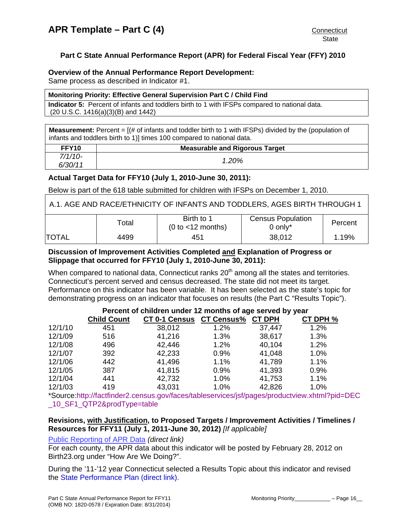## <span id="page-15-0"></span>**Overview of the Annual Performance Report Development:**

Same process as described in Indicator #1.

#### **Monitoring Priority: Effective General Supervision Part C / Child Find**

**Indicator 5:** Percent of infants and toddlers birth to 1 with IFSPs compared to national data. (20 U.S.C. 1416(a)(3)(B) and 1442)

**Measurement:** Percent = [(# of infants and toddler birth to 1 with IFSPs) divided by the (population of infants and toddlers birth to 1)] times 100 compared to national data.

| FFY <sub>10</sub>    | <b>Measurable and Rigorous Target</b> |
|----------------------|---------------------------------------|
| $7/1/10-$<br>6/30/11 | 1.20%                                 |

# **Actual Target Data for FFY10 (July 1, 2010-June 30, 2011):**

Below is part of the 618 table submitted for children with IFSPs on December 1, 2010.

| A.1. AGE AND RACE/ETHNICITY OF INFANTS AND TODDLERS, AGES BIRTH THROUGH 1 |       |                                    |                                          |         |  |
|---------------------------------------------------------------------------|-------|------------------------------------|------------------------------------------|---------|--|
|                                                                           | Total | Birth to 1<br>$(0 to < 12$ months) | <b>Census Population</b><br>$0$ only $*$ | Percent |  |
| <b>TOTAL</b>                                                              | 4499  | 451                                | 38,012                                   | 1.19%   |  |

# **Discussion of Improvement Activities Completed and Explanation of Progress or Slippage that occurred for FFY10 (July 1, 2010-June 30, 2011):**

When compared to national data, Connecticut ranks  $20<sup>th</sup>$  among all the states and territories. Connecticut's percent served and census decreased. The state did not meet its target. Performance on this indicator has been variable. It has been selected as the state's topic for demonstrating progress on an indicator that focuses on results (the Part C "Results Topic").

# **Percent of children under 12 months of age served by year**

|         | <b>Child Count</b> | <b>CT 0-1 Census</b> | <b>CT Census%</b> | <b>CT DPH</b> | CT DPH % |
|---------|--------------------|----------------------|-------------------|---------------|----------|
| 12/1/10 | 451                | 38,012               | 1.2%              | 37,447        | 1.2%     |
| 12/1/09 | 516                | 41,216               | 1.3%              | 38,617        | 1.3%     |
| 12/1/08 | 496                | 42,446               | 1.2%              | 40,104        | 1.2%     |
| 12/1/07 | 392                | 42,233               | 0.9%              | 41,048        | 1.0%     |
| 12/1/06 | 442                | 41,496               | 1.1%              | 41,789        | 1.1%     |
| 12/1/05 | 387                | 41,815               | 0.9%              | 41,393        | 0.9%     |
| 12/1/04 | 441                | 42,732               | 1.0%              | 41,753        | 1.1%     |
| 12/1/03 | 419                | 43,031               | 1.0%              | 42,826        | 1.0%     |

\*Source:http://factfinder2.census.gov/faces/tableservices/jsf/pages/productview.xhtml?pid=DEC \_10\_SF1\_QTP2&prodType=table

### **Revisions, with Justification, to Proposed Targets / Improvement Activities / Timelines / Resources for FFY11 (July 1, 2011-June 30, 2012)** *[If applicable]*

#### [Public Reporting of APR Data](http://www.birth23.org/Accountability/PR/PublicReporting.htm) *(direct link)*

For each county, the APR data about this indicator will be posted by February 28, 2012 on Birth23.org under "How Are We Doing?".

During the '11-'12 year Connecticut selected a Results Topic about this indicator and revised the [State Performance Plan \(direct link\).](http://www.birth23.org/accountability/SPP.html)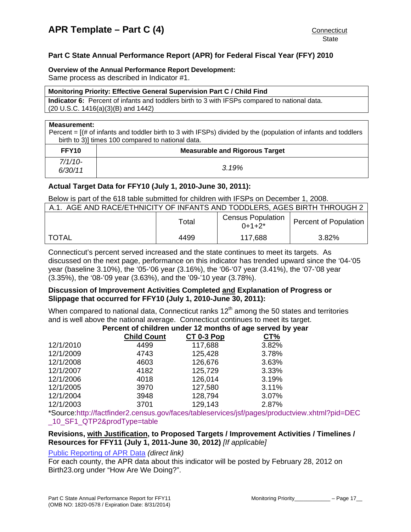#### <span id="page-16-0"></span>**Overview of the Annual Performance Report Development:**

Same process as described in Indicator #1.

#### **Monitoring Priority: Effective General Supervision Part C / Child Find**

**Indicator 6:** Percent of infants and toddlers birth to 3 with IFSPs compared to national data. (20 U.S.C. 1416(a)(3)(B) and 1442)

#### **Measurement:**

Percent = [(# of infants and toddler birth to 3 with IFSPs) divided by the (population of infants and toddlers birth to 3)] times 100 compared to national data.

| FFY <sub>10</sub>  | <b>Measurable and Rigorous Target</b> |
|--------------------|---------------------------------------|
| 7/1/10-<br>6/30/11 | 3.19%                                 |

# **Actual Target Data for FFY10 (July 1, 2010-June 30, 2011):**

Below is part of the 618 table submitted for children with IFSPs on December 1, 2008.

| A.1. AGE AND RACE/ETHNICITY OF INFANTS AND TODDLERS, AGES BIRTH THROUGH 2 |       |                                         |                              |  |  |
|---------------------------------------------------------------------------|-------|-----------------------------------------|------------------------------|--|--|
|                                                                           | Total | <b>Census Population</b><br>$0+1+2^{*}$ | <b>Percent of Population</b> |  |  |
| TOTAL                                                                     | 4499  | 117.688                                 | 3.82%                        |  |  |

Connecticut's percent served increased and the state continues to meet its targets. As discussed on the next page, performance on this indicator has trended upward since the '04-'05 year (baseline 3.10%), the '05-'06 year (3.16%), the '06-'07 year (3.41%), the '07-'08 year (3.35%), the '08-'09 year (3.63%), and the '09-'10 year (3.78%).

# **Discussion of Improvement Activities Completed and Explanation of Progress or Slippage that occurred for FFY10 (July 1, 2010-June 30, 2011):**

When compared to national data, Connecticut ranks  $12<sup>th</sup>$  among the 50 states and territories and is well above the national average. Connecticut continues to meet its target.

#### **Percent of children under 12 months of age served by year**

|           | <b>Child Count</b> | <b>CT 0-3 Pop</b> | CT%   |
|-----------|--------------------|-------------------|-------|
| 12/1/2010 | 4499               | 117,688           | 3.82% |
| 12/1/2009 | 4743               | 125,428           | 3.78% |
| 12/1/2008 | 4603               | 126,676           | 3.63% |
| 12/1/2007 | 4182               | 125,729           | 3.33% |
| 12/1/2006 | 4018               | 126,014           | 3.19% |
| 12/1/2005 | 3970               | 127,580           | 3.11% |
| 12/1/2004 | 3948               | 128,794           | 3.07% |
| 12/1/2003 | 3701               | 129,143           | 2.87% |

\*Source:http://factfinder2.census.gov/faces/tableservices/jsf/pages/productview.xhtml?pid=DEC 10\_SF1\_QTP2&prodType=table

### **Revisions, with Justification, to Proposed Targets / Improvement Activities / Timelines / Resources for FFY11 (July 1, 2011-June 30, 2012)** *[If applicable]*

### [Public Reporting of APR Data](http://www.birth23.org/Accountability/PR/PublicReporting.htm) *(direct link)*

For each county, the APR data about this indicator will be posted by February 28, 2012 on Birth23.org under "How Are We Doing?".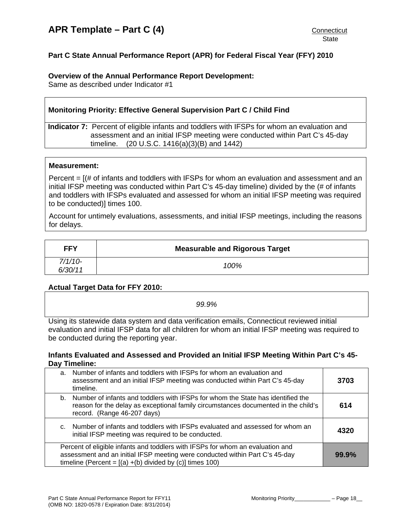# <span id="page-17-0"></span>**Overview of the Annual Performance Report Development:**

Same as described under Indicator #1

# **Monitoring Priority: Effective General Supervision Part C / Child Find**

**Indicator 7:** Percent of eligible infants and toddlers with IFSPs for whom an evaluation and assessment and an initial IFSP meeting were conducted within Part C's 45-day timeline. (20 U.S.C. 1416(a)(3)(B) and 1442)

### **Measurement:**

Percent  $= [(# of infants and toldlers with IFSPs for whom an evaluation and assessment and an$ initial IFSP meeting was conducted within Part C's 45-day timeline) divided by the (# of infants and toddlers with IFSPs evaluated and assessed for whom an initial IFSP meeting was required to be conducted)] times 100.

Account for untimely evaluations, assessments, and initial IFSP meetings, including the reasons for delays.

| <b>FFY</b>           | <b>Measurable and Rigorous Target</b> |
|----------------------|---------------------------------------|
| $7/1/10-$<br>6/30/11 | 100%                                  |

# Actual Target Data for FFY 2010:

| 99.9%                                                                                              |
|----------------------------------------------------------------------------------------------------|
| Using its statewide data system and data verification emails, Connecticut reviewed initial         |
| evaluation and initial IFSP data for all children for whom an initial IFSP meeting was required to |
| be conducted during the reporting year.                                                            |

### **fants Evaluated and Assessed and Provided an Initial IFSP Meeting Within Part C's 45- In Day Timeline:**

| a.             | Number of infants and toddlers with IFSPs for whom an evaluation and<br>assessment and an initial IFSP meeting was conducted within Part C's 45-day<br>timeline.                                                              | 3703  |
|----------------|-------------------------------------------------------------------------------------------------------------------------------------------------------------------------------------------------------------------------------|-------|
| b.             | Number of infants and toddlers with IFSPs for whom the State has identified the<br>reason for the delay as exceptional family circumstances documented in the child's<br>record. (Range 46-207 days)                          | 614   |
| $\mathsf{C}$ . | Number of infants and toddlers with IFSPs evaluated and assessed for whom an<br>initial IFSP meeting was required to be conducted.                                                                                            | 4320  |
|                | Percent of eligible infants and toddlers with IFSPs for whom an evaluation and<br>assessment and an initial IFSP meeting were conducted within Part C's 45-day<br>timeline (Percent = $[(a) + (b)$ divided by (c)] times 100) | 99.9% |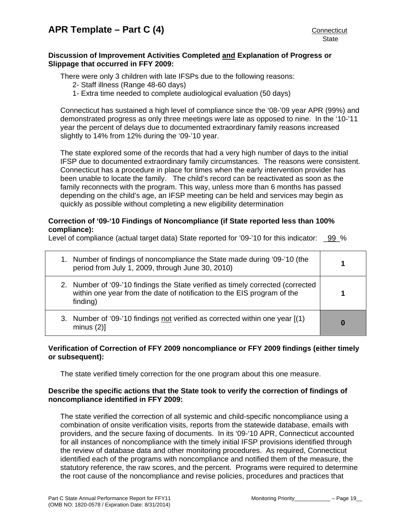# **Discussion of Improvement Activities Completed and Explanation of Progress or Slippage that occurred in FFY 2009:**

There were only 3 children with late IFSPs due to the following reasons:

- 2- Staff illness (Range 48-60 days)
- 1- Extra time needed to complete audiological evaluation (50 days)

Connecticut has sustained a high level of compliance since the '08-'09 year APR (99%) and demonstrated progress as only three meetings were late as opposed to nine. In the '10-'11 year the percent of delays due to documented extraordinary family reasons increased slightly to 14% from 12% during the '09-'10 year.

The state explored some of the records that had a very high number of days to the initial IFSP due to documented extraordinary family circumstances. The reasons were consistent. Connecticut has a procedure in place for times when the early intervention provider has been unable to locate the family. The child's record can be reactivated as soon as the family reconnects with the program. This way, unless more than 6 months has passed depending on the child's age, an IFSP meeting can be held and services may begin as quickly as possible without completing a new eligibility determination

# **Correction of '09-'10 Findings of Noncompliance (if State reported less than 100% compliance):**

Level of compliance (actual target data) State reported for '09-'10 for this indicator: 99 %

| 1. Number of findings of noncompliance the State made during '09-'10 (the<br>period from July 1, 2009, through June 30, 2010)                                          |  |
|------------------------------------------------------------------------------------------------------------------------------------------------------------------------|--|
| 2. Number of '09-'10 findings the State verified as timely corrected (corrected<br>within one year from the date of notification to the EIS program of the<br>finding) |  |
| 3. Number of '09-'10 findings not verified as corrected within one year [(1)<br>minus $(2)$ ]                                                                          |  |

# **Verification of Correction of FFY 2009 noncompliance or FFY 2009 findings (either timely or subsequent):**

The state verified timely correction for the one program about this one measure.

# **Describe the specific actions that the State took to verify the correction of findings of noncompliance identified in FFY 2009:**

The state verified the correction of all systemic and child-specific noncompliance using a combination of onsite verification visits, reports from the statewide database, emails with providers, and the secure faxing of documents. In its '09-'10 APR, Connecticut accounted for all instances of noncompliance with the timely initial IFSP provisions identified through the review of database data and other monitoring procedures. As required, Connecticut identified each of the programs with noncompliance and notified them of the measure, the statutory reference, the raw scores, and the percent. Programs were required to determine the root cause of the noncompliance and revise policies, procedures and practices that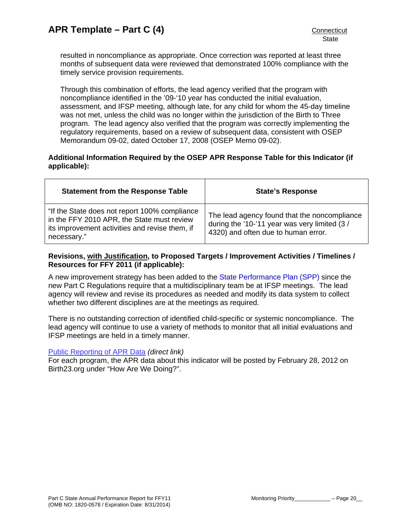resulted in noncompliance as appropriate. Once correction was reported at least three months of subsequent data were reviewed that demonstrated 100% compliance with the timely service provision requirements.

Through this combination of efforts, the lead agency verified that the program with noncompliance identified in the '09-'10 year has conducted the initial evaluation, assessment, and IFSP meeting, although late, for any child for whom the 45-day timeline was not met, unless the child was no longer within the jurisdiction of the Birth to Three program. The lead agency also verified that the program was correctly implementing the regulatory requirements, based on a review of subsequent data, consistent with OSEP Memorandum 09-02, dated October 17, 2008 (OSEP Memo 09-02).

# **Additional Information Required by the OSEP APR Response Table for this Indicator (if applicable):**

| <b>Statement from the Response Table</b>                                                                                                                     | <b>State's Response</b>                                                                                                             |
|--------------------------------------------------------------------------------------------------------------------------------------------------------------|-------------------------------------------------------------------------------------------------------------------------------------|
| "If the State does not report 100% compliance<br>in the FFY 2010 APR, the State must review<br>its improvement activities and revise them, if<br>necessary." | The lead agency found that the noncompliance<br>during the '10-'11 year was very limited (3/<br>4320) and often due to human error. |

# **Revisions, with Justification, to Proposed Targets / Improvement Activities / Timelines / Resources for FFY 2011 (if applicable):**

A new improvement strategy has been added to the [State Performance Plan \(SPP\)](http://birth23.org/accountability/SPP.html) since the new Part C Regulations require that a multidisciplinary team be at IFSP meetings. The lead agency will review and revise its procedures as needed and modify its data system to collect whether two different disciplines are at the meetings as required.

There is no outstanding correction of identified child-specific or systemic noncompliance. The lead agency will continue to use a variety of methods to monitor that all initial evaluations and IFSP meetings are held in a timely manner.

### [Public Reporting of APR Data](http://www.birth23.org/Accountability/PR/PublicReporting.htm) *(direct link)*

For each program, the APR data about this indicator will be posted by February 28, 2012 on Birth23.org under "How Are We Doing?".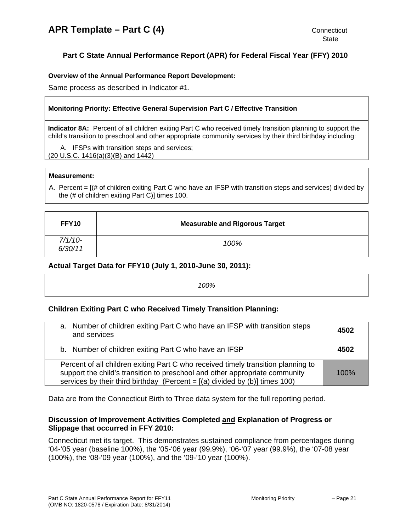## <span id="page-20-0"></span>**Overview of the Annual Performance Report Development:**

Same process as described in Indicator #1.

### **Monitoring Priority: Effective General Supervision Part C / Effective Transition**

**Indicator 8A:** Percent of all children exiting Part C who received timely transition planning to support the child's transition to preschool and other appropriate community services by their third birthday including:

A. IFSPs with transition steps and services; (20 U.S.C. 1416(a)(3)(B) and 1442)

#### **Measurement:**

A. Percent = [(# of children exiting Part C who have an IFSP with transition steps and services) divided by the (# of children exiting Part C)] times 100.

| FFY10                | <b>Measurable and Rigorous Target</b> |
|----------------------|---------------------------------------|
| $7/1/10-$<br>6/30/11 | 100%                                  |

# **Actual Target Data for FFY10 (July 1, 2010-June 30, 2011):**

| 00% |
|-----|
|-----|

### **Children Exiting Part C who Received Timely Transition Planning:**

| a. Number of children exiting Part C who have an IFSP with transition steps<br>and services                                                                                                                                                         | 4502 |
|-----------------------------------------------------------------------------------------------------------------------------------------------------------------------------------------------------------------------------------------------------|------|
| b. Number of children exiting Part C who have an IFSP                                                                                                                                                                                               | 4502 |
| Percent of all children exiting Part C who received timely transition planning to<br>support the child's transition to preschool and other appropriate community<br>services by their third birthday (Percent = $[(a)$ divided by $(b)]$ times 100) | 100% |

Data are from the Connecticut Birth to Three data system for the full reporting period.

# **Discussion of Improvement Activities Completed and Explanation of Progress or Slippage that occurred in FFY 2010:**

Connecticut met its target. This demonstrates sustained compliance from percentages during '04-'05 year (baseline 100%), the '05-'06 year (99.9%), '06-'07 year (99.9%), the '07-08 year (100%), the '08-'09 year (100%), and the '09-'10 year (100%).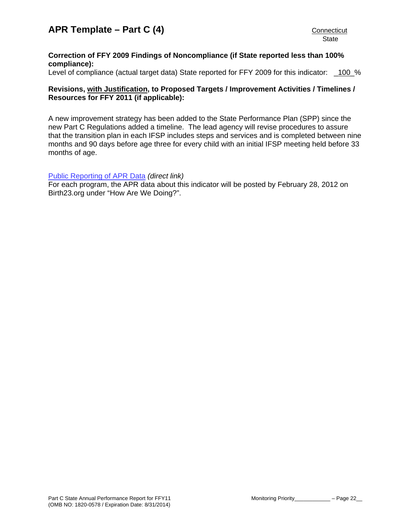# **Correction of FFY 2009 Findings of Noncompliance (if State reported less than 100% compliance):**

Level of compliance (actual target data) State reported for FFY 2009 for this indicator: 100 %

# **Revisions, with Justification, to Proposed Targets / Improvement Activities / Timelines / Resources for FFY 2011 (if applicable):**

A new improvement strategy has been added to the State Performance Plan (SPP) since the new Part C Regulations added a timeline. The lead agency will revise procedures to assure that the transition plan in each IFSP includes steps and services and is completed between nine months and 90 days before age three for every child with an initial IFSP meeting held before 33 months of age.

### [Public Reporting of APR Data](http://www.birth23.org/Accountability/PR/PublicReporting.htm) *(direct link)*

For each program, the APR data about this indicator will be posted by February 28, 2012 on Birth23.org under "How Are We Doing?".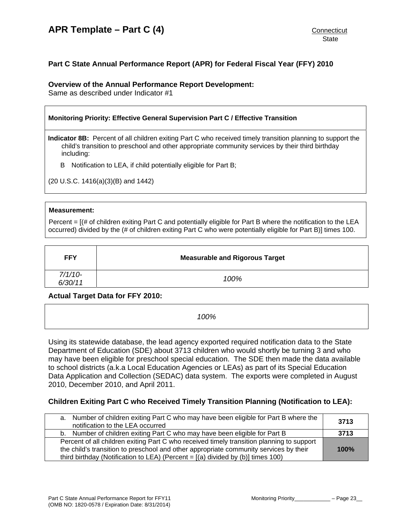# **Part C State Annual Performance Report (APR) for Federal Fiscal Year (FFY) 2010**

# **Overview of the Annual Performance Report Development:**

Same as described under Indicator #1

| Monitoring Priority: Effective General Supervision Part C / Effective Transition |                                                                                                                                                                                                                                      |
|----------------------------------------------------------------------------------|--------------------------------------------------------------------------------------------------------------------------------------------------------------------------------------------------------------------------------------|
|                                                                                  | <b>Indicator 8B:</b> Percent of all children exiting Part C who received timely transition planning to support the<br>child's transition to preschool and other appropriate community services by their third birthday<br>including: |
| В                                                                                | Notification to LEA, if child potentially eligible for Part B;                                                                                                                                                                       |

(20 U.S.C. 1416(a)(3)(B) and 1442)

#### **Measurement:**

Percent = [(# of children exiting Part C and potentially eligible for Part B where the notification to the LEA occurred) divided by the (# of children exiting Part C who were potentially eligible for Part B)] times 100.

| <b>FFY</b>           | <b>Measurable and Rigorous Target</b> |
|----------------------|---------------------------------------|
| $7/1/10-$<br>6/30/11 | 100%                                  |

### **Actual Target Data for FFY 2010:**

*100%* 

Using its statewide database, the lead agency exported required notification data to the State Department of Education (SDE) about 3713 children who would shortly be turning 3 and who may have been eligible for preschool special education. The SDE then made the data available to school districts (a.k.a Local Education Agencies or LEAs) as part of its Special Education Data Application and Collection (SEDAC) data system. The exports were completed in August 2010, December 2010, and April 2011.

# **Children Exiting Part C who Received Timely Transition Planning (Notification to LEA):**

| a. Number of children exiting Part C who may have been eligible for Part B where the<br>notification to the LEA occurred | 3713 |  |
|--------------------------------------------------------------------------------------------------------------------------|------|--|
| b. Number of children exiting Part C who may have been eligible for Part B                                               | 3713 |  |
| Percent of all children exiting Part C who received timely transition planning to support                                |      |  |
| the child's transition to preschool and other appropriate community services by their<br>100%                            |      |  |
| third birthday (Notification to LEA) (Percent = $[(a)$ divided by $(b)]$ times 100)                                      |      |  |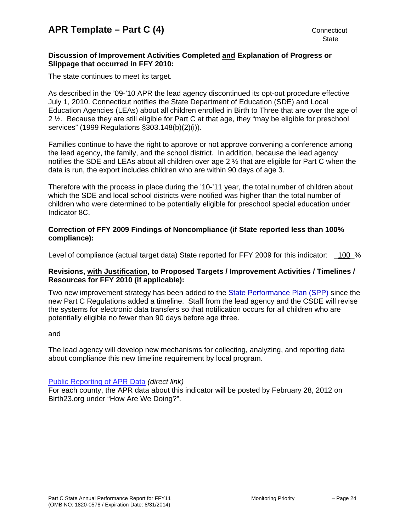# **Discussion of Improvement Activities Completed and Explanation of Progress or Slippage that occurred in FFY 2010:**

The state continues to meet its target.

As described in the '09-'10 APR the lead agency discontinued its opt-out procedure effective July 1, 2010. Connecticut notifies the State Department of Education (SDE) and Local Education Agencies (LEAs) about all children enrolled in Birth to Three that are over the age of 2 ½. Because they are still eligible for Part C at that age, they "may be eligible for preschool services" (1999 Regulations §303.148(b)(2)(i)).

Families continue to have the right to approve or not approve convening a conference among the lead agency, the family, and the school district. In addition, because the lead agency notifies the SDE and LEAs about all children over age 2 ½ that are eligible for Part C when the data is run, the export includes children who are within 90 days of age 3.

Therefore with the process in place during the '10-'11 year, the total number of children about which the SDE and local school districts were notified was higher than the total number of children who were determined to be potentially eligible for preschool special education under Indicator 8C.

# **Correction of FFY 2009 Findings of Noncompliance (if State reported less than 100% compliance):**

Level of compliance (actual target data) State reported for FFY 2009 for this indicator: 100 %

# **Revisions, with Justification, to Proposed Targets / Improvement Activities / Timelines / Resources for FFY 2010 (if applicable):**

Two new improvement strategy has been added to the [State Performance Plan \(SPP\)](http://birth23.org/accountability/SPP.html) since the new Part C Regulations added a timeline. Staff from the lead agency and the CSDE will revise the systems for electronic data transfers so that notification occurs for all children who are potentially eligible no fewer than 90 days before age three.

### and

The lead agency will develop new mechanisms for collecting, analyzing, and reporting data about compliance this new timeline requirement by local program.

### [Public Reporting of APR Data](http://www.birth23.org/Accountability/PR/PublicReporting.htm) *(direct link)*

For each county, the APR data about this indicator will be posted by February 28, 2012 on Birth23.org under "How Are We Doing?".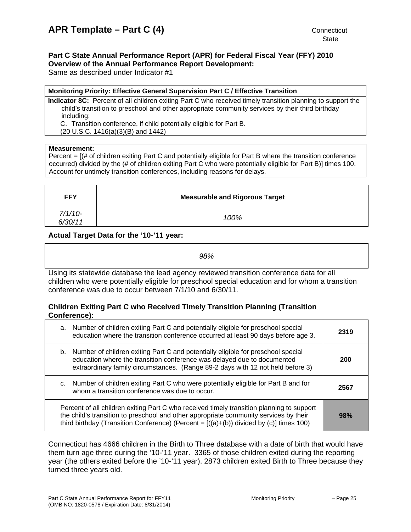#### <span id="page-24-0"></span>**Part C State Annual Performance Report (APR) for Federal Fiscal Year (FFY) 2010 Overview of the Annual Performance Report Development:**

Same as described under Indicator #1

#### **Monitoring Priority: Effective General Supervision Part C / Effective Transition**

**Indicator 8C:** Percent of all children exiting Part C who received timely transition planning to support the child's transition to preschool and other appropriate community services by their third birthday including:

C. Transition conference, if child potentially eligible for Part B.

(20 U.S.C. 1416(a)(3)(B) and 1442)

#### **Measurement:**

Percent = [(# of children exiting Part C and potentially eligible for Part B where the transition conference occurred) divided by the (# of children exiting Part C who were potentially eligible for Part B)] times 100. Account for untimely transition conferences, including reasons for delays.

| <b>FFY</b>           | <b>Measurable and Rigorous Target</b> |
|----------------------|---------------------------------------|
| $7/1/10-$<br>6/30/11 | 100%                                  |

# **Actual Target Data for the '10-'11 year:**

*98%* 

Using its statewide database the lead agency reviewed transition conference data for all children who were potentially eligible for preschool special education and for whom a transition conference was due to occur between 7/1/10 and 6/30/11.

# **Children Exiting Part C who Received Timely Transition Planning (Transition Conference):**

| a. Number of children exiting Part C and potentially eligible for preschool special<br>education where the transition conference occurred at least 90 days before age 3.                                                                                                       | 2319 |
|--------------------------------------------------------------------------------------------------------------------------------------------------------------------------------------------------------------------------------------------------------------------------------|------|
| b. Number of children exiting Part C and potentially eligible for preschool special<br>education where the transition conference was delayed due to documented<br>extraordinary family circumstances. (Range 89-2 days with 12 not held before 3)                              | 200  |
| c. Number of children exiting Part C who were potentially eligible for Part B and for<br>whom a transition conference was due to occur.                                                                                                                                        | 2567 |
| Percent of all children exiting Part C who received timely transition planning to support<br>the child's transition to preschool and other appropriate community services by their<br>third birthday (Transition Conference) (Percent = $[(a)+(b))$ divided by (c)] times 100) | 98%  |

Connecticut has 4666 children in the Birth to Three database with a date of birth that would have them turn age three during the '10-'11 year. 3365 of those children exited during the reporting year (the others exited before the '10-'11 year). 2873 children exited Birth to Three because they turned three years old.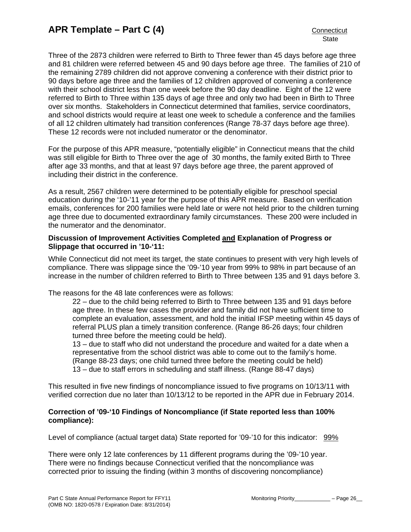Three of the 2873 children were referred to Birth to Three fewer than 45 days before age three and 81 children were referred between 45 and 90 days before age three. The families of 210 of the remaining 2789 children did not approve convening a conference with their district prior to 90 days before age three and the families of 12 children approved of convening a conference with their school district less than one week before the 90 day deadline. Eight of the 12 were referred to Birth to Three within 135 days of age three and only two had been in Birth to Three over six months. Stakeholders in Connecticut determined that families, service coordinators, and school districts would require at least one week to schedule a conference and the families of all 12 children ultimately had transition conferences (Range 78-37 days before age three). These 12 records were not included numerator or the denominator.

For the purpose of this APR measure, "potentially eligible" in Connecticut means that the child was still eligible for Birth to Three over the age of 30 months, the family exited Birth to Three after age 33 months, and that at least 97 days before age three, the parent approved of including their district in the conference.

As a result, 2567 children were determined to be potentially eligible for preschool special education during the '10-'11 year for the purpose of this APR measure. Based on verification emails, conferences for 200 families were held late or were not held prior to the children turning age three due to documented extraordinary family circumstances. These 200 were included in the numerator and the denominator.

## **Discussion of Improvement Activities Completed and Explanation of Progress or Slippage that occurred in '10-'11:**

While Connecticut did not meet its target, the state continues to present with very high levels of compliance. There was slippage since the '09-'10 year from 99% to 98% in part because of an increase in the number of children referred to Birth to Three between 135 and 91 days before 3.

The reasons for the 48 late conferences were as follows:

22 – due to the child being referred to Birth to Three between 135 and 91 days before age three. In these few cases the provider and family did not have sufficient time to complete an evaluation, assessment, and hold the initial IFSP meeting within 45 days of referral PLUS plan a timely transition conference. (Range 86-26 days; four children turned three before the meeting could be held).

13 – due to staff who did not understand the procedure and waited for a date when a representative from the school district was able to come out to the family's home. (Range 88-23 days; one child turned three before the meeting could be held) 13 – due to staff errors in scheduling and staff illness. (Range 88-47 days)

This resulted in five new findings of noncompliance issued to five programs on 10/13/11 with verified correction due no later than 10/13/12 to be reported in the APR due in February 2014.

# **Correction of '09-'10 Findings of Noncompliance (if State reported less than 100% compliance):**

Level of compliance (actual target data) State reported for '09-'10 for this indicator: 99%

There were only 12 late conferences by 11 different programs during the '09-'10 year. There were no findings because Connecticut verified that the noncompliance was corrected prior to issuing the finding (within 3 months of discovering noncompliance)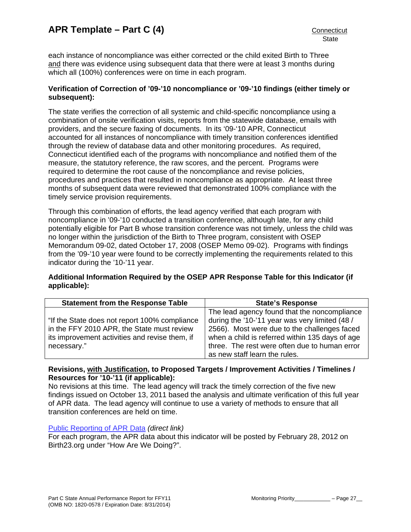each instance of noncompliance was either corrected or the child exited Birth to Three and there was evidence using subsequent data that there were at least 3 months during which all (100%) conferences were on time in each program.

# **Verification of Correction of '09-'10 noncompliance or '09-'10 findings (either timely or subsequent):**

The state verifies the correction of all systemic and child-specific noncompliance using a combination of onsite verification visits, reports from the statewide database, emails with providers, and the secure faxing of documents. In its '09-'10 APR, Connecticut accounted for all instances of noncompliance with timely transition conferences identified through the review of database data and other monitoring procedures. As required, Connecticut identified each of the programs with noncompliance and notified them of the measure, the statutory reference, the raw scores, and the percent. Programs were required to determine the root cause of the noncompliance and revise policies, procedures and practices that resulted in noncompliance as appropriate. At least three months of subsequent data were reviewed that demonstrated 100% compliance with the timely service provision requirements.

Through this combination of efforts, the lead agency verified that each program with noncompliance in '09-'10 conducted a transition conference, although late, for any child potentially eligible for Part B whose transition conference was not timely, unless the child was no longer within the jurisdiction of the Birth to Three program, consistent with OSEP Memorandum 09-02, dated October 17, 2008 (OSEP Memo 09-02). Programs with findings from the '09-'10 year were found to be correctly implementing the requirements related to this indicator during the '10-'11 year.

# **Additional Information Required by the OSEP APR Response Table for this Indicator (if applicable):**

| <b>Statement from the Response Table</b>                                                                                                                     | <b>State's Response</b>                                                                                                                                                                                                                                                             |
|--------------------------------------------------------------------------------------------------------------------------------------------------------------|-------------------------------------------------------------------------------------------------------------------------------------------------------------------------------------------------------------------------------------------------------------------------------------|
| "If the State does not report 100% compliance<br>in the FFY 2010 APR, the State must review<br>its improvement activities and revise them, if<br>necessary." | The lead agency found that the noncompliance<br>during the '10-'11 year was very limited (48 /<br>2566). Most were due to the challenges faced<br>when a child is referred within 135 days of age<br>three. The rest were often due to human error<br>as new staff learn the rules. |

# **Revisions, with Justification, to Proposed Targets / Improvement Activities / Timelines / Resources for '10-'11 (if applicable):**

No revisions at this time. The lead agency will track the timely correction of the five new findings issued on October 13, 2011 based the analysis and ultimate verification of this full year of APR data. The lead agency will continue to use a variety of methods to ensure that all transition conferences are held on time.

### [Public Reporting of APR Data](http://www.birth23.org/Accountability/PR/PublicReporting.htm) *(direct link)*

For each program, the APR data about this indicator will be posted by February 28, 2012 on Birth23.org under "How Are We Doing?".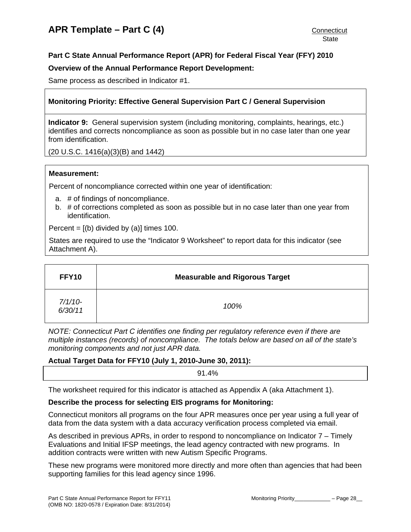# <span id="page-27-0"></span>**Overview of the Annual Performance Report Development:**

Same process as described in Indicator #1.

# **Monitoring Priority: Effective General Supervision Part C / General Supervision**

**Indicator 9:** General supervision system (including monitoring, complaints, hearings, etc.) identifies and corrects noncompliance as soon as possible but in no case later than one year from identification.

(20 U.S.C. 1416(a)(3)(B) and 1442)

### **Measurement:**

Percent of noncompliance corrected within one year of identification:

- a. # of findings of noncompliance.
- b. # of corrections completed as soon as possible but in no case later than one year from identification.

Percent =  $[(b)$  divided by  $(a)]$  times 100.

States are required to use the "Indicator 9 Worksheet" to report data for this indicator (see Attachment A).

| <b>FFY10</b>         | <b>Measurable and Rigorous Target</b> |
|----------------------|---------------------------------------|
| $7/1/10-$<br>6/30/11 | 100%                                  |

*NOTE: Connecticut Part C identifies one finding per regulatory reference even if there are multiple instances (records) of noncompliance. The totals below are based on all of the state's monitoring components and not just APR data.* 

### **Actual Target Data for FFY10 (July 1, 2010-June 30, 2011):**

91.4%

The worksheet required for this indicator is attached as Appendix A (aka Attachment 1).

### **Describe the process for selecting EIS programs for Monitoring:**

Connecticut monitors all programs on the four APR measures once per year using a full year of data from the data system with a data accuracy verification process completed via email.

As described in previous APRs, in order to respond to noncompliance on Indicator 7 – Timely Evaluations and Initial IFSP meetings, the lead agency contracted with new programs. In addition contracts were written with new Autism Specific Programs.

These new programs were monitored more directly and more often than agencies that had been supporting families for this lead agency since 1996.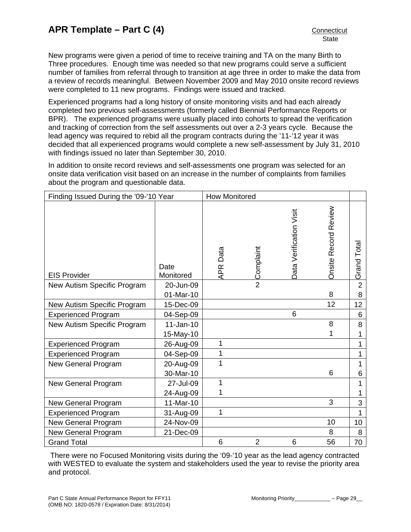New programs were given a period of time to receive training and TA on the many Birth to Three procedures. Enough time was needed so that new programs could serve a sufficient number of families from referral through to transition at age three in order to make the data from a review of records meaningful. Between November 2009 and May 2010 onsite record reviews were completed to 11 new programs. Findings were issued and tracked.

Experienced programs had a long history of onsite monitoring visits and had each already completed two previous self-assessments (formerly called Biennial Performance Reports or BPR). The experienced programs were usually placed into cohorts to spread the verification and tracking of correction from the self assessments out over a 2-3 years cycle. Because the lead agency was required to rebid all the program contracts during the '11-'12 year it was decided that all experienced programs would complete a new self-assessment by July 31, 2010 with findings issued no later than September 30, 2010.

In addition to onsite record reviews and self-assessments one program was selected for an onsite data verification visit based on an increase in the number of complaints from families about the program and questionable data.

| Finding Issued During the '09-'10 Year |                   | <b>How Monitored</b> |                |                         |                      |                |
|----------------------------------------|-------------------|----------------------|----------------|-------------------------|----------------------|----------------|
| <b>EIS Provider</b>                    | Date<br>Monitored | Data<br>APR I        | Complaint      | Data Verification Visit | Onsite Record Review | Grand Total    |
| New Autism Specific Program            | 20-Jun-09         |                      | $\overline{2}$ |                         |                      | $\overline{2}$ |
|                                        | 01-Mar-10         |                      |                |                         | 8                    | 8              |
| New Autism Specific Program            | 15-Dec-09         |                      |                |                         | 12                   | 12             |
| <b>Experienced Program</b>             | 04-Sep-09         |                      |                | 6                       |                      | 6              |
| New Autism Specific Program            | $11-Jan-10$       |                      |                |                         | 8                    | 8              |
|                                        | 15-May-10         |                      |                |                         | 1                    | 1              |
| <b>Experienced Program</b>             | 26-Aug-09         | 1                    |                |                         |                      | 1              |
| <b>Experienced Program</b>             | 04-Sep-09         | 1                    |                |                         |                      | 1              |
| New General Program                    | 20-Aug-09         | 1                    |                |                         |                      | 1              |
|                                        | 30-Mar-10         |                      |                |                         | 6                    | 6              |
| New General Program                    | 27-Jul-09         | 1                    |                |                         |                      | 1              |
|                                        | 24-Aug-09         |                      |                |                         |                      |                |
| New General Program                    | 11-Mar-10         |                      |                |                         | 3                    | 3              |
| <b>Experienced Program</b>             | 31-Aug-09         | 1                    |                |                         |                      | 1              |
| New General Program                    | 24-Nov-09         |                      |                |                         | 10                   | 10             |
| New General Program                    | 21-Dec-09         |                      |                |                         | 8                    | 8              |
| <b>Grand Total</b>                     |                   | 6                    | $\overline{2}$ | 6                       | 56                   | 70             |

 There were no Focused Monitoring visits during the '09-'10 year as the lead agency contracted with WESTED to evaluate the system and stakeholders used the year to revise the priority area and protocol.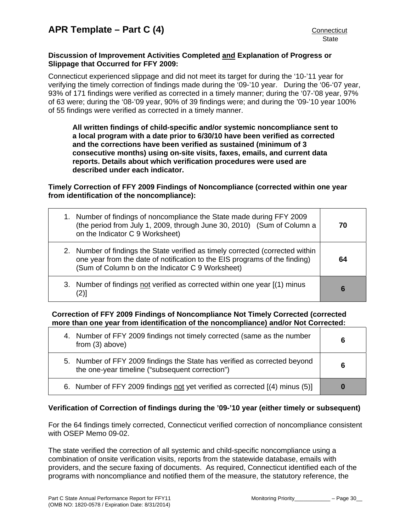# **Discussion of Improvement Activities Completed and Explanation of Progress or Slippage that Occurred for FFY 2009:**

Connecticut experienced slippage and did not meet its target for during the '10-'11 year for verifying the timely correction of findings made during the '09-'10 year. During the '06-'07 year, 93% of 171 findings were verified as corrected in a timely manner; during the '07-'08 year, 97% of 63 were; during the '08-'09 year, 90% of 39 findings were; and during the '09-'10 year 100% of 55 findings were verified as corrected in a timely manner.

**All written findings of child-specific and/or systemic noncompliance sent to a local program with a date prior to 6/30/10 have been verified as corrected and the corrections have been verified as sustained (minimum of 3 consecutive months) using on-site visits, faxes, emails, and current data reports. Details about which verification procedures were used are described under each indicator.** 

**Timely Correction of FFY 2009 Findings of Noncompliance (corrected within one year from identification of the noncompliance):** 

| 1. Number of findings of noncompliance the State made during FFY 2009<br>(the period from July 1, 2009, through June 30, 2010) (Sum of Column a<br>on the Indicator C 9 Worksheet)                               | 70 |
|------------------------------------------------------------------------------------------------------------------------------------------------------------------------------------------------------------------|----|
| 2. Number of findings the State verified as timely corrected (corrected within<br>one year from the date of notification to the EIS programs of the finding)<br>(Sum of Column b on the Indicator C 9 Worksheet) | 64 |
| 3. Number of findings not verified as corrected within one year [(1) minus<br>$\left( 2\right)$                                                                                                                  | 6  |

# **Correction of FFY 2009 Findings of Noncompliance Not Timely Corrected (corrected more than one year from identification of the noncompliance) and/or Not Corrected:**

| 4. Number of FFY 2009 findings not timely corrected (same as the number<br>from $(3)$ above)                                 | 6 |
|------------------------------------------------------------------------------------------------------------------------------|---|
| 5. Number of FFY 2009 findings the State has verified as corrected beyond<br>the one-year timeline ("subsequent correction") | 6 |
| 6. Number of FFY 2009 findings not yet verified as corrected [(4) minus (5)]                                                 |   |

# **Verification of Correction of findings during the '09-'10 year (either timely or subsequent)**

For the 64 findings timely corrected, Connecticut verified correction of noncompliance consistent with OSEP Memo 09-02.

The state verified the correction of all systemic and child-specific noncompliance using a combination of onsite verification visits, reports from the statewide database, emails with providers, and the secure faxing of documents. As required, Connecticut identified each of the programs with noncompliance and notified them of the measure, the statutory reference, the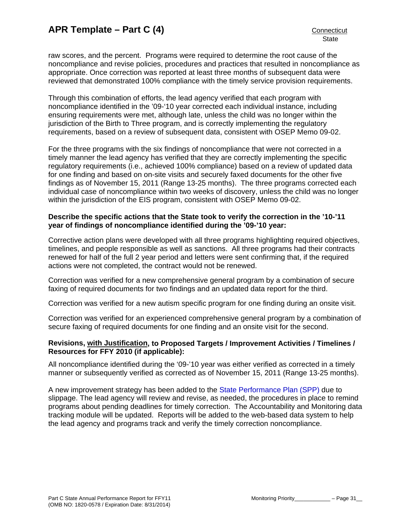raw scores, and the percent. Programs were required to determine the root cause of the noncompliance and revise policies, procedures and practices that resulted in noncompliance as appropriate. Once correction was reported at least three months of subsequent data were reviewed that demonstrated 100% compliance with the timely service provision requirements.

Through this combination of efforts, the lead agency verified that each program with noncompliance identified in the '09-'10 year corrected each individual instance, including ensuring requirements were met, although late, unless the child was no longer within the jurisdiction of the Birth to Three program, and is correctly implementing the regulatory requirements, based on a review of subsequent data, consistent with OSEP Memo 09-02.

For the three programs with the six findings of noncompliance that were not corrected in a timely manner the lead agency has verified that they are correctly implementing the specific regulatory requirements (i.e., achieved 100% compliance) based on a review of updated data for one finding and based on on-site visits and securely faxed documents for the other five findings as of November 15, 2011 (Range 13-25 months). The three programs corrected each individual case of noncompliance within two weeks of discovery, unless the child was no longer within the jurisdiction of the EIS program, consistent with OSEP Memo 09-02.

## **Describe the specific actions that the State took to verify the correction in the '10-'11 year of findings of noncompliance identified during the '09-'10 year:**

Corrective action plans were developed with all three programs highlighting required objectives, timelines, and people responsible as well as sanctions. All three programs had their contracts renewed for half of the full 2 year period and letters were sent confirming that, if the required actions were not completed, the contract would not be renewed.

Correction was verified for a new comprehensive general program by a combination of secure faxing of required documents for two findings and an updated data report for the third.

Correction was verified for a new autism specific program for one finding during an onsite visit.

Correction was verified for an experienced comprehensive general program by a combination of secure faxing of required documents for one finding and an onsite visit for the second.

# **Revisions, with Justification, to Proposed Targets / Improvement Activities / Timelines / Resources for FFY 2010 (if applicable):**

All noncompliance identified during the '09-'10 year was either verified as corrected in a timely manner or subsequently verified as corrected as of November 15, 2011 (Range 13-25 months).

A new improvement strategy has been added to the [State Performance Plan \(SPP\)](http://birth23.org/accountability/SPP.html) due to slippage. The lead agency will review and revise, as needed, the procedures in place to remind programs about pending deadlines for timely correction. The Accountability and Monitoring data tracking module will be updated. Reports will be added to the web-based data system to help the lead agency and programs track and verify the timely correction noncompliance.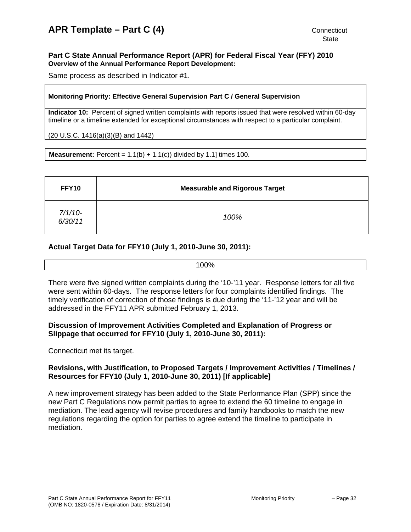#### <span id="page-31-0"></span>**Part C State Annual Performance Report (APR) for Federal Fiscal Year (FFY) 2010 Overview of the Annual Performance Report Development:**

Same process as described in Indicator #1.

## **Monitoring Priority: Effective General Supervision Part C / General Supervision**

**Indicator 10:** Percent of signed written complaints with reports issued that were resolved within 60-day timeline or a timeline extended for exceptional circumstances with respect to a particular complaint.

(20 U.S.C. 1416(a)(3)(B) and 1442)

**Measurement:** Percent =  $1.1(b) + 1.1(c)$  divided by 1.1] times 100.

| FFY10              | <b>Measurable and Rigorous Target</b> |
|--------------------|---------------------------------------|
| 7/1/10-<br>6/30/11 | 100%                                  |

# **Actual Target Data for FFY10 (July 1, 2010-June 30, 2011):**

There were five signed written complaints during the '10-'11 year. Response letters for all five were sent within 60-days. The response letters for four complaints identified findings. The timely verification of correction of those findings is due during the '11-'12 year and will be addressed in the FFY11 APR submitted February 1, 2013.

# **Discussion of Improvement Activities Completed and Explanation of Progress or Slippage that occurred for FFY10 (July 1, 2010-June 30, 2011):**

Connecticut met its target.

# **Revisions, with Justification, to Proposed Targets / Improvement Activities / Timelines / Resources for FFY10 (July 1, 2010-June 30, 2011) [If applicable]**

A new improvement strategy has been added to the State Performance Plan (SPP) since the new Part C Regulations now permit parties to agree to extend the 60 timeline to engage in mediation. The lead agency will revise procedures and family handbooks to match the new regulations regarding the option for parties to agree extend the timeline to participate in mediation.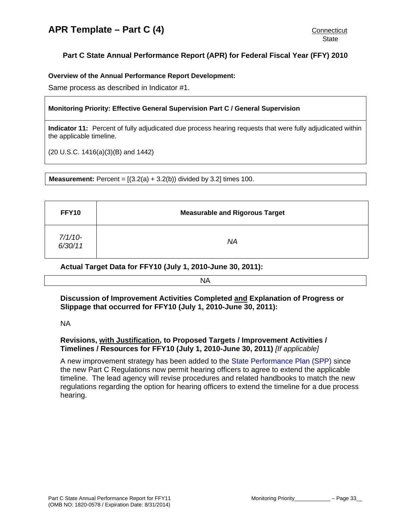# <span id="page-32-0"></span>**Part C State Annual Performance Report (APR) for Federal Fiscal Year (FFY) 2010**

# **Overview of the Annual Performance Report Development:**

Same process as described in Indicator #1.

# **Monitoring Priority: Effective General Supervision Part C / General Supervision**

**Indicator 11:** Percent of fully adjudicated due process hearing requests that were fully adjudicated within the applicable timeline.

(20 U.S.C. 1416(a)(3)(B) and 1442)

**Measurement:** Percent =  $[(3.2(a) + 3.2(b))$  divided by 3.2] times 100.

| FFY10              | <b>Measurable and Rigorous Target</b> |
|--------------------|---------------------------------------|
| 7/1/10-<br>6/30/11 | ΝA                                    |

**Actual Target Data for FFY10 (July 1, 2010-June 30, 2011):**

NA

**Discussion of Improvement Activities Completed and Explanation of Progress or Slippage that occurred for FFY10 (July 1, 2010-June 30, 2011):** 

NA

# **Revisions, with Justification, to Proposed Targets / Improvement Activities / Timelines / Resources for FFY10 (July 1, 2010-June 30, 2011)** *[If applicable]*

A new improvement strategy has been added to the [State Performance Plan \(SPP\)](http://birth23.org/accountability/SPP.html) since the new Part C Regulations now permit hearing officers to agree to extend the applicable timeline. The lead agency will revise procedures and related handbooks to match the new regulations regarding the option for hearing officers to extend the timeline for a due process hearing.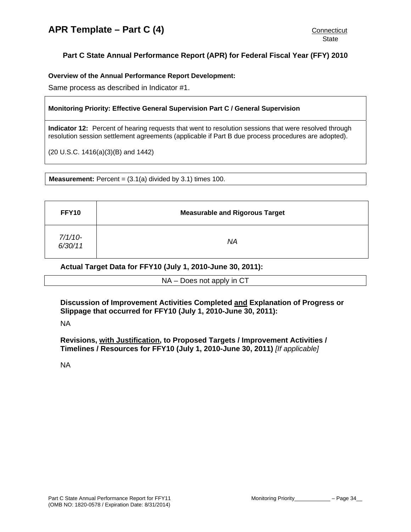# <span id="page-33-0"></span>**Part C State Annual Performance Report (APR) for Federal Fiscal Year (FFY) 2010**

**Overview of the Annual Performance Report Development:** 

Same process as described in Indicator #1.

# **Monitoring Priority: Effective General Supervision Part C / General Supervision**

**Indicator 12:** Percent of hearing requests that went to resolution sessions that were resolved through resolution session settlement agreements (applicable if Part B due process procedures are adopted).

(20 U.S.C. 1416(a)(3)(B) and 1442)

**Measurement:** Percent =  $(3.1(a)$  divided by  $3.1$ ) times  $100$ .

| FFY10                | <b>Measurable and Rigorous Target</b> |
|----------------------|---------------------------------------|
| $7/1/10-$<br>6/30/11 | ΝA                                    |

**Actual Target Data for FFY10 (July 1, 2010-June 30, 2011):**

NA – Does not apply in CT

**Discussion of Improvement Activities Completed and Explanation of Progress or Slippage that occurred for FFY10 (July 1, 2010-June 30, 2011):** 

NA

**Revisions, with Justification, to Proposed Targets / Improvement Activities / Timelines / Resources for FFY10 (July 1, 2010-June 30, 2011)** *[If applicable]*

NA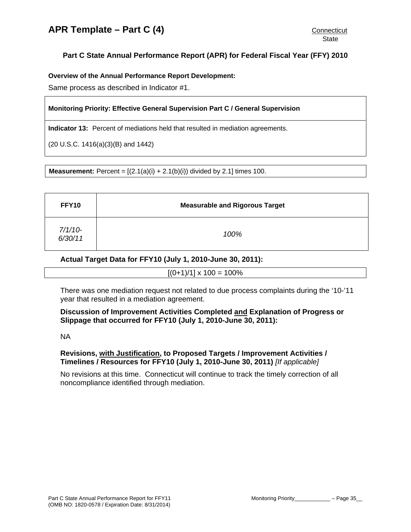# <span id="page-34-0"></span>**Part C State Annual Performance Report (APR) for Federal Fiscal Year (FFY) 2010**

## **Overview of the Annual Performance Report Development:**

Same process as described in Indicator #1.

# **Monitoring Priority: Effective General Supervision Part C / General Supervision**

**Indicator 13:** Percent of mediations held that resulted in mediation agreements.

(20 U.S.C. 1416(a)(3)(B) and 1442)

**Measurement:** Percent =  $[(2.1(a)(i) + 2.1(b)(i))$  divided by 2.1] times 100.

| FFY10              | <b>Measurable and Rigorous Target</b> |
|--------------------|---------------------------------------|
| 7/1/10-<br>6/30/11 | 100%                                  |

# **Actual Target Data for FFY10 (July 1, 2010-June 30, 2011):**

 $[(0+1)/1] \times 100 = 100\%$ 

There was one mediation request not related to due process complaints during the '10-'11 year that resulted in a mediation agreement.

# **Discussion of Improvement Activities Completed and Explanation of Progress or Slippage that occurred for FFY10 (July 1, 2010-June 30, 2011):**

#### NA

# **Revisions, with Justification, to Proposed Targets / Improvement Activities / Timelines / Resources for FFY10 (July 1, 2010-June 30, 2011)** *[If applicable]*

No revisions at this time. Connecticut will continue to track the timely correction of all noncompliance identified through mediation.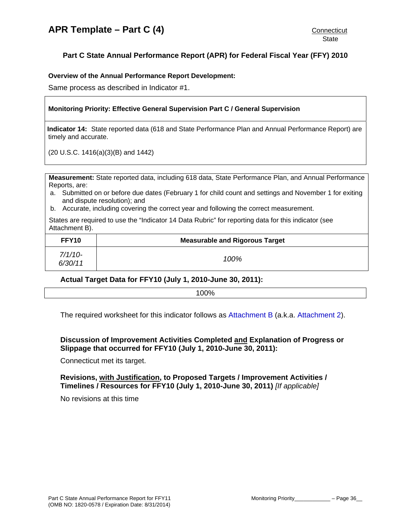#### <span id="page-35-0"></span>**Overview of the Annual Performance Report Development:**

Same process as described in Indicator #1.

#### **Monitoring Priority: Effective General Supervision Part C / General Supervision**

**Indicator 14:** State reported data (618 and State Performance Plan and Annual Performance Report) are timely and accurate.

(20 U.S.C. 1416(a)(3)(B) and 1442)

**Measurement:** State reported data, including 618 data, State Performance Plan, and Annual Performance Reports, are:

- a. Submitted on or before due dates (February 1 for child count and settings and November 1 for exiting and dispute resolution); and
- b. Accurate, including covering the correct year and following the correct measurement.

States are required to use the "Indicator 14 Data Rubric" for reporting data for this indicator (see Attachment B).

| FFY10                | <b>Measurable and Rigorous Target</b> |
|----------------------|---------------------------------------|
| $7/1/10-$<br>6/30/11 | 100%                                  |

# **Actual Target Data for FFY10 (July 1, 2010-June 30, 2011):**

100%

The required worksheet for this indicator follows as [Attachment B](#page-39-0) (a.k.a. [Attachment 2](#page-39-0)).

# **Discussion of Improvement Activities Completed and Explanation of Progress or Slippage that occurred for FFY10 (July 1, 2010-June 30, 2011):**

Connecticut met its target.

**Revisions, with Justification, to Proposed Targets / Improvement Activities / Timelines / Resources for FFY10 (July 1, 2010-June 30, 2011)** *[If applicable]*

No revisions at this time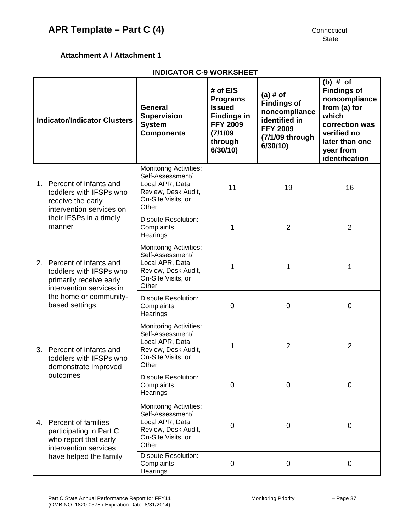# <span id="page-36-0"></span>**Attachment A / Attachment 1**

# **INDICATOR C-9 WORKSHEET**

| <b>Indicator/Indicator Clusters</b> |                                                                                                                                                         | <b>General</b><br><b>Supervision</b><br><b>System</b><br><b>Components</b>                                                 | $#$ of EIS<br><b>Programs</b><br><b>Issued</b><br><b>Findings in</b><br><b>FFY 2009</b><br>(7/1/09)<br>through<br>6/30/10 | $(a)$ # of<br><b>Findings of</b><br>noncompliance<br>identified in<br><b>FFY 2009</b><br>(7/1/09 through<br>6/30/10 | $(b)$ # of<br><b>Findings of</b><br>noncompliance<br>from (a) for<br>which<br>correction was<br>verified no<br>later than one<br>year from<br>identification |
|-------------------------------------|---------------------------------------------------------------------------------------------------------------------------------------------------------|----------------------------------------------------------------------------------------------------------------------------|---------------------------------------------------------------------------------------------------------------------------|---------------------------------------------------------------------------------------------------------------------|--------------------------------------------------------------------------------------------------------------------------------------------------------------|
| $1_{-}$                             | Percent of infants and<br>toddlers with IFSPs who<br>receive the early<br>intervention services on<br>their IFSPs in a timely<br>manner                 | <b>Monitoring Activities:</b><br>Self-Assessment/<br>Local APR, Data<br>Review, Desk Audit,<br>On-Site Visits, or<br>Other | 11                                                                                                                        | 19                                                                                                                  | 16                                                                                                                                                           |
|                                     |                                                                                                                                                         | <b>Dispute Resolution:</b><br>Complaints,<br>Hearings                                                                      | 1                                                                                                                         | $\overline{2}$                                                                                                      | $\overline{2}$                                                                                                                                               |
|                                     | 2. Percent of infants and<br>toddlers with IFSPs who<br>primarily receive early<br>intervention services in<br>the home or community-<br>based settings | <b>Monitoring Activities:</b><br>Self-Assessment/<br>Local APR, Data<br>Review, Desk Audit,<br>On-Site Visits, or<br>Other | 1                                                                                                                         | 1                                                                                                                   | 1                                                                                                                                                            |
|                                     |                                                                                                                                                         | <b>Dispute Resolution:</b><br>Complaints,<br>Hearings                                                                      | $\overline{0}$                                                                                                            | $\mathbf 0$                                                                                                         | $\mathbf 0$                                                                                                                                                  |
|                                     | 3. Percent of infants and<br>toddlers with IFSPs who<br>demonstrate improved<br>outcomes                                                                | <b>Monitoring Activities:</b><br>Self-Assessment/<br>Local APR, Data<br>Review, Desk Audit,<br>On-Site Visits, or<br>Other | 1                                                                                                                         | $\overline{2}$                                                                                                      | $\overline{2}$                                                                                                                                               |
|                                     |                                                                                                                                                         | <b>Dispute Resolution:</b><br>Complaints,<br>Hearings                                                                      | $\overline{0}$                                                                                                            | $\overline{0}$                                                                                                      | $\mathbf 0$                                                                                                                                                  |
| 4.                                  | Percent of families<br>participating in Part C<br>who report that early<br>intervention services<br>have helped the family                              | <b>Monitoring Activities:</b><br>Self-Assessment/<br>Local APR, Data<br>Review, Desk Audit,<br>On-Site Visits, or<br>Other | $\overline{0}$                                                                                                            | 0                                                                                                                   | 0                                                                                                                                                            |
|                                     |                                                                                                                                                         | <b>Dispute Resolution:</b><br>Complaints,<br>Hearings                                                                      | $\mathbf 0$                                                                                                               | $\mathbf 0$                                                                                                         | $\mathbf 0$                                                                                                                                                  |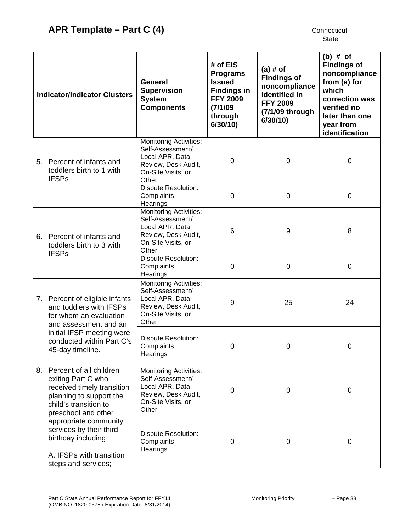| <b>Indicator/Indicator Clusters</b> |                                                                                                                                                                                            | General<br><b>Supervision</b><br><b>System</b><br><b>Components</b>                                                        | # of $EIS$<br><b>Programs</b><br><b>Issued</b><br><b>Findings in</b><br><b>FFY 2009</b><br>(7/1/09)<br>through<br>6/30/10 | $(a)$ # of<br><b>Findings of</b><br>noncompliance<br>identified in<br><b>FFY 2009</b><br>(7/1/09 through<br>6/30/10 | $(b)$ # of<br><b>Findings of</b><br>noncompliance<br>from (a) for<br>which<br>correction was<br>verified no<br>later than one<br>year from<br>identification |
|-------------------------------------|--------------------------------------------------------------------------------------------------------------------------------------------------------------------------------------------|----------------------------------------------------------------------------------------------------------------------------|---------------------------------------------------------------------------------------------------------------------------|---------------------------------------------------------------------------------------------------------------------|--------------------------------------------------------------------------------------------------------------------------------------------------------------|
|                                     | 5. Percent of infants and<br>toddlers birth to 1 with<br><b>IFSPs</b>                                                                                                                      | <b>Monitoring Activities:</b><br>Self-Assessment/<br>Local APR, Data<br>Review, Desk Audit,<br>On-Site Visits, or<br>Other | $\overline{0}$                                                                                                            | $\mathbf 0$                                                                                                         | $\mathbf 0$                                                                                                                                                  |
|                                     |                                                                                                                                                                                            | Dispute Resolution:<br>Complaints,<br>Hearings                                                                             | 0                                                                                                                         | $\mathbf 0$                                                                                                         | $\mathbf 0$                                                                                                                                                  |
|                                     | 6. Percent of infants and<br>toddlers birth to 3 with<br><b>IFSPs</b>                                                                                                                      | <b>Monitoring Activities:</b><br>Self-Assessment/<br>Local APR, Data<br>Review, Desk Audit,<br>On-Site Visits, or<br>Other | 6                                                                                                                         | 9                                                                                                                   | 8                                                                                                                                                            |
|                                     |                                                                                                                                                                                            | <b>Dispute Resolution:</b><br>Complaints,<br>Hearings                                                                      | 0                                                                                                                         | $\mathbf 0$                                                                                                         | 0                                                                                                                                                            |
|                                     | 7. Percent of eligible infants<br>and toddlers with IFSPs<br>for whom an evaluation<br>and assessment and an<br>initial IFSP meeting were<br>conducted within Part C's<br>45-day timeline. | <b>Monitoring Activities:</b><br>Self-Assessment/<br>Local APR, Data<br>Review, Desk Audit,<br>On-Site Visits, or<br>Other | 9                                                                                                                         | 25                                                                                                                  | 24                                                                                                                                                           |
|                                     |                                                                                                                                                                                            | <b>Dispute Resolution:</b><br>Complaints,<br>Hearings                                                                      | 0                                                                                                                         | 0                                                                                                                   | 0                                                                                                                                                            |
|                                     | 8. Percent of all children<br>exiting Part C who<br>received timely transition<br>planning to support the<br>child's transition to<br>preschool and other                                  | <b>Monitoring Activities:</b><br>Self-Assessment/<br>Local APR, Data<br>Review, Desk Audit,<br>On-Site Visits, or<br>Other | 0                                                                                                                         | 0                                                                                                                   | $\mathbf 0$                                                                                                                                                  |
|                                     | appropriate community<br>services by their third<br>birthday including:<br>A. IFSPs with transition<br>steps and services;                                                                 | Dispute Resolution:<br>Complaints,<br>Hearings                                                                             | $\overline{0}$                                                                                                            | $\mathbf 0$                                                                                                         | $\mathbf 0$                                                                                                                                                  |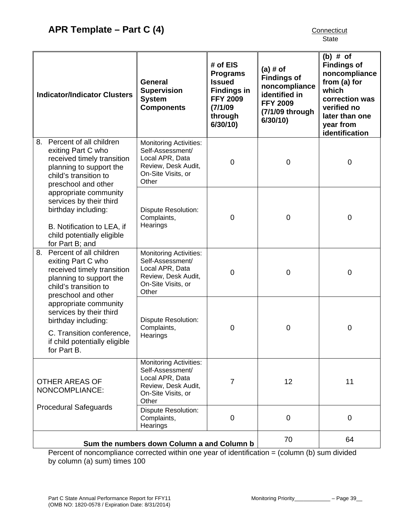| <b>Indicator/Indicator Clusters</b>                                                                                                                          | <b>General</b><br><b>Supervision</b><br><b>System</b><br><b>Components</b>                                                 | # of EIS<br><b>Programs</b><br><b>Issued</b><br><b>Findings in</b><br><b>FFY 2009</b><br>(7/1/09)<br>through<br>6/30/10 | $(a)$ # of<br><b>Findings of</b><br>noncompliance<br>identified in<br><b>FFY 2009</b><br>(7/1/09 through<br>6/30/10 | $(b)$ # of<br><b>Findings of</b><br>noncompliance<br>from (a) for<br>which<br>correction was<br>verified no<br>later than one<br>year from<br>identification |
|--------------------------------------------------------------------------------------------------------------------------------------------------------------|----------------------------------------------------------------------------------------------------------------------------|-------------------------------------------------------------------------------------------------------------------------|---------------------------------------------------------------------------------------------------------------------|--------------------------------------------------------------------------------------------------------------------------------------------------------------|
| 8. Percent of all children<br>exiting Part C who<br>received timely transition<br>planning to support the<br>child's transition to<br>preschool and other    | <b>Monitoring Activities:</b><br>Self-Assessment/<br>Local APR, Data<br>Review, Desk Audit,<br>On-Site Visits, or<br>Other | $\mathbf 0$                                                                                                             | $\mathbf 0$                                                                                                         | $\mathbf 0$                                                                                                                                                  |
| appropriate community<br>services by their third<br>birthday including:<br>B. Notification to LEA, if<br>child potentially eligible<br>for Part B; and       | <b>Dispute Resolution:</b><br>Complaints,<br>Hearings                                                                      | $\mathbf 0$                                                                                                             | $\mathbf 0$                                                                                                         | $\mathbf 0$                                                                                                                                                  |
| Percent of all children<br>8.<br>exiting Part C who<br>received timely transition<br>planning to support the<br>child's transition to<br>preschool and other | <b>Monitoring Activities:</b><br>Self-Assessment/<br>Local APR, Data<br>Review, Desk Audit,<br>On-Site Visits, or<br>Other | 0                                                                                                                       | $\mathbf 0$                                                                                                         | 0                                                                                                                                                            |
| appropriate community<br>services by their third<br>birthday including:<br>C. Transition conference,<br>if child potentially eligible<br>for Part B.         | <b>Dispute Resolution:</b><br>Complaints,<br>Hearings                                                                      | $\mathbf 0$                                                                                                             | $\mathbf 0$                                                                                                         | $\mathbf 0$                                                                                                                                                  |
| <b>OTHER AREAS OF</b><br>NONCOMPLIANCE:                                                                                                                      | <b>Monitoring Activities:</b><br>Self-Assessment/<br>Local APR, Data<br>Review, Desk Audit,<br>On-Site Visits, or<br>Other | 7                                                                                                                       | 12                                                                                                                  | 11                                                                                                                                                           |
| <b>Procedural Safeguards</b>                                                                                                                                 | Dispute Resolution:<br>Complaints,<br>Hearings                                                                             | $\overline{0}$                                                                                                          | $\mathbf 0$                                                                                                         | $\mathbf 0$                                                                                                                                                  |
|                                                                                                                                                              | Sum the numbers down Column a and Column b                                                                                 |                                                                                                                         | 70                                                                                                                  | 64                                                                                                                                                           |

Percent of noncompliance corrected within one year of identification = (column (b) sum divided by column (a) sum) times 100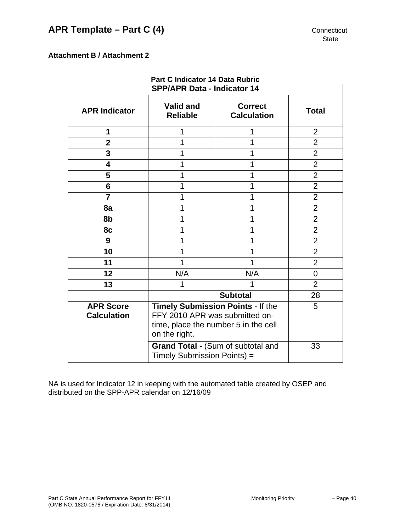# <span id="page-39-0"></span>**Attachment B / Attachment 2**

| Part C Indicator 14 Data Rubric        |                                                                                                                              |                                      |                |  |  |  |  |
|----------------------------------------|------------------------------------------------------------------------------------------------------------------------------|--------------------------------------|----------------|--|--|--|--|
| <b>SPP/APR Data - Indicator 14</b>     |                                                                                                                              |                                      |                |  |  |  |  |
| <b>APR Indicator</b>                   | <b>Valid and</b><br><b>Reliable</b>                                                                                          | <b>Correct</b><br><b>Calculation</b> | <b>Total</b>   |  |  |  |  |
| 1                                      |                                                                                                                              | 1                                    | $\overline{2}$ |  |  |  |  |
| $\mathbf{2}$                           |                                                                                                                              | 1                                    | $\overline{2}$ |  |  |  |  |
| 3                                      | 1                                                                                                                            | 1                                    | $\overline{2}$ |  |  |  |  |
| $\overline{\mathbf{4}}$                | 1                                                                                                                            | 1                                    | $\overline{2}$ |  |  |  |  |
| 5                                      |                                                                                                                              |                                      | $\overline{2}$ |  |  |  |  |
| 6                                      |                                                                                                                              | 1                                    | $\overline{2}$ |  |  |  |  |
| $\overline{7}$                         | 1                                                                                                                            | 1                                    | $\overline{2}$ |  |  |  |  |
| 8a                                     |                                                                                                                              | 1                                    | $\overline{2}$ |  |  |  |  |
| 8b                                     |                                                                                                                              | 1                                    | $\overline{2}$ |  |  |  |  |
| 8c                                     | 1                                                                                                                            | 1                                    | $\overline{2}$ |  |  |  |  |
| 9                                      |                                                                                                                              | 1                                    | $\overline{2}$ |  |  |  |  |
| 10                                     |                                                                                                                              | 1                                    | $\overline{2}$ |  |  |  |  |
| 11                                     | 1                                                                                                                            | 1                                    | $\overline{2}$ |  |  |  |  |
| 12                                     | N/A                                                                                                                          | N/A                                  | 0              |  |  |  |  |
| 13                                     | 1                                                                                                                            |                                      | $\overline{2}$ |  |  |  |  |
|                                        |                                                                                                                              | <b>Subtotal</b>                      | 28             |  |  |  |  |
| <b>APR Score</b><br><b>Calculation</b> | Timely Submission Points - If the<br>FFY 2010 APR was submitted on-<br>time, place the number 5 in the cell<br>on the right. | 5                                    |                |  |  |  |  |
|                                        | Grand Total - (Sum of subtotal and<br>Timely Submission Points) =                                                            | 33                                   |                |  |  |  |  |

NA is used for Indicator 12 in keeping with the automated table created by OSEP and distributed on the SPP-APR calendar on 12/16/09